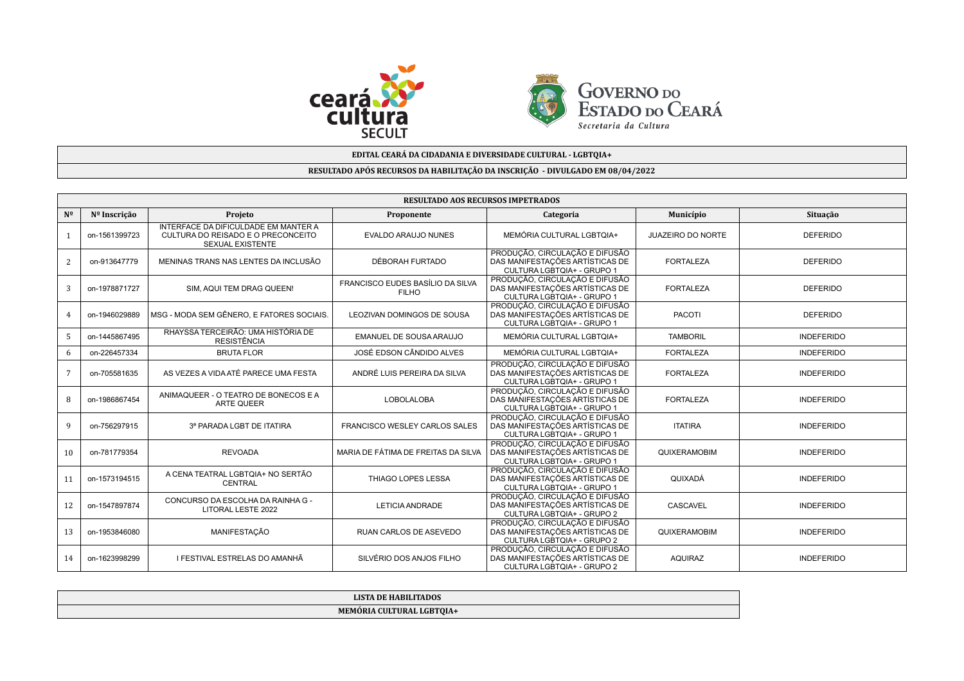



## **EDITAL CEARÁ DA CIDADANIA E DIVERSIDADE CULTURAL - LGBTQIA+**

## **RESULTADO APÓS RECURSOS DA HABILITAÇÃO DA INSCRIÇÃO - DIVULGADO EM 08/04/2022**

|                 | <b>RESULTADO AOS RECURSOS IMPETRADOS</b> |                                                                                                              |                                                  |                                                                                                 |                          |                   |  |  |
|-----------------|------------------------------------------|--------------------------------------------------------------------------------------------------------------|--------------------------------------------------|-------------------------------------------------------------------------------------------------|--------------------------|-------------------|--|--|
| $N^{\Omega}$    | Nº Inscrição                             | Situação                                                                                                     |                                                  |                                                                                                 |                          |                   |  |  |
|                 | on-1561399723                            | <b>INTERFACE DA DIFICULDADE EM MANTER A</b><br>CULTURA DO REISADO E O PRECONCEITO<br><b>SEXUAL EXISTENTE</b> | <b>EVALDO ARAUJO NUNES</b>                       | MEMÓRIA CULTURAL LGBTQIA+                                                                       | <b>JUAZEIRO DO NORTE</b> | <b>DEFERIDO</b>   |  |  |
| 2               | on-913647779                             | MENINAS TRANS NAS LENTES DA INCLUSÃO                                                                         | DÉBORAH FURTADO                                  | PRODUÇÃO, CIRCULAÇÃO E DIFUSÃO<br>DAS MANIFESTAÇÕES ARTÍSTICAS DE<br>CULTURA LGBTQIA+ - GRUPO 1 | <b>FORTALEZA</b>         | <b>DEFERIDO</b>   |  |  |
| 3               | on-1978871727                            | SIM, AQUI TEM DRAG QUEEN!                                                                                    | FRANCISCO EUDES BASÍLIO DA SILVA<br><b>FILHO</b> | PRODUÇÃO, CIRCULAÇÃO E DIFUSÃO<br>DAS MANIFESTAÇÕES ARTÍSTICAS DE<br>CULTURA LGBTQIA+ - GRUPO 1 | <b>FORTALEZA</b>         | <b>DEFERIDO</b>   |  |  |
| $\overline{4}$  | on-1946029889                            | MSG - MODA SEM GÊNERO, E FATORES SOCIAIS.                                                                    | LEOZIVAN DOMINGOS DE SOUSA                       | PRODUÇÃO, CIRCULAÇÃO E DIFUSÃO<br>DAS MANIFESTAÇÕES ARTÍSTICAS DE<br>CULTURA LGBTQIA+ - GRUPO 1 | <b>PACOTI</b>            | <b>DEFERIDO</b>   |  |  |
| 5               | on-1445867495                            | RHAYSSA TERCEIRÃO: UMA HISTÓRIA DE<br><b>RESISTÊNCIA</b>                                                     | EMANUEL DE SOUSA ARAUJO                          | MEMÓRIA CULTURAL LGBTQIA+                                                                       | <b>TAMBORIL</b>          | <b>INDEFERIDO</b> |  |  |
| 6               | on-226457334                             | <b>BRUTA FLOR</b>                                                                                            | JOSÉ EDSON CÃNDIDO ALVES                         | MEMÓRIA CULTURAL LGBTQIA+                                                                       | <b>FORTALEZA</b>         | <b>INDEFERIDO</b> |  |  |
| $7\phantom{.0}$ | on-705581635                             | AS VEZES A VIDA ATÉ PARECE UMA FESTA                                                                         | ANDRÉ LUIS PEREIRA DA SILVA                      | PRODUÇÃO, CIRCULAÇÃO E DIFUSÃO<br>DAS MANIFESTAÇÕES ARTÍSTICAS DE<br>CULTURA LGBTQIA+ - GRUPO 1 | <b>FORTALEZA</b>         | <b>INDEFERIDO</b> |  |  |
| 8               | on-1986867454                            | ANIMAQUEER - O TEATRO DE BONECOS E A<br><b>ARTE QUEER</b>                                                    | <b>LOBOLALOBA</b>                                | PRODUÇÃO, CIRCULAÇÃO E DIFUSÃO<br>DAS MANIFESTAÇÕES ARTÍSTICAS DE<br>CULTURA LGBTQIA+ - GRUPO 1 | <b>FORTALEZA</b>         | <b>INDEFERIDO</b> |  |  |
| 9               | on-756297915                             | 3ª PARADA LGBT DE ITATIRA                                                                                    | <b>FRANCISCO WESLEY CARLOS SALES</b>             | PRODUÇÃO, CIRCULAÇÃO E DIFUSÃO<br>DAS MANIFESTAÇÕES ARTÍSTICAS DE<br>CULTURA LGBTQIA+ - GRUPO 1 | <b>ITATIRA</b>           | <b>INDEFERIDO</b> |  |  |
| 10              | on-781779354                             | <b>REVOADA</b>                                                                                               | MARIA DE FÁTIMA DE FREITAS DA SILVA              | PRODUÇÃO, CIRCULAÇÃO E DIFUSÃO<br>DAS MANIFESTAÇÕES ARTÍSTICAS DE<br>CULTURA LGBTQIA+ - GRUPO 1 | QUIXERAMOBIM             | <b>INDEFERIDO</b> |  |  |
| 11              | on-1573194515                            | A CENA TEATRAL LGBTQIA+ NO SERTÃO<br>CENTRAL                                                                 | THIAGO LOPES LESSA                               | PRODUÇÃO, CIRCULAÇÃO E DIFUSÃO<br>DAS MANIFESTAÇÕES ARTÍSTICAS DE<br>CULTURA LGBTQIA+ - GRUPO 1 | QUIXADÁ                  | <b>INDEFERIDO</b> |  |  |
| 12              | on-1547897874                            | CONCURSO DA ESCOLHA DA RAINHA G -<br>LITORAL LESTE 2022                                                      | LETICIA ANDRADE                                  | PRODUÇÃO, CIRCULAÇÃO E DIFUSÃO<br>DAS MANIFESTAÇÕES ARTÍSTICAS DE<br>CULTURA LGBTQIA+ - GRUPO 2 | CASCAVEL                 | <b>INDEFERIDO</b> |  |  |
| 13              | on-1953846080                            | MANIFESTAÇÃO                                                                                                 | RUAN CARLOS DE ASEVEDO                           | PRODUÇÃO, CIRCULAÇÃO E DIFUSÃO<br>DAS MANIFESTAÇÕES ARTÍSTICAS DE<br>CULTURA LGBTQIA+ - GRUPO 2 | QUIXERAMOBIM             | <b>INDEFERIDO</b> |  |  |
| 14              | on-1623998299                            | I FESTIVAL ESTRELAS DO AMANHÃ                                                                                | SILVÉRIO DOS ANJOS FILHO                         | PRODUÇÃO, CIRCULAÇÃO E DIFUSÃO<br>DAS MANIFESTAÇÕES ARTÍSTICAS DE<br>CULTURA LGBTQIA+ - GRUPO 2 | <b>AQUIRAZ</b>           | <b>INDEFERIDO</b> |  |  |

| <b>LISTA DE HABILITADOS</b> |
|-----------------------------|
| MEMÓRIA CULTURAL LGBTOIA+   |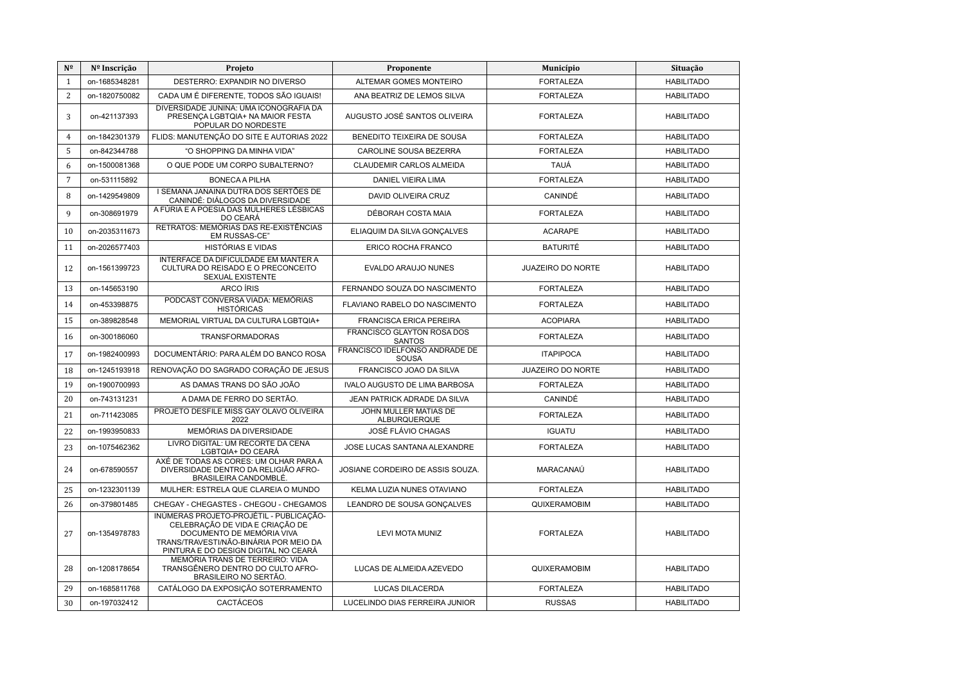| N <sup>2</sup> | Nº Inscrição  | Projeto                                                                                                                                                                                   | Proponente                                     | Município                | Situação          |
|----------------|---------------|-------------------------------------------------------------------------------------------------------------------------------------------------------------------------------------------|------------------------------------------------|--------------------------|-------------------|
| $\mathbf{1}$   | on-1685348281 | DESTERRO: EXPANDIR NO DIVERSO                                                                                                                                                             | ALTEMAR GOMES MONTEIRO                         | <b>FORTALEZA</b>         | <b>HABILITADO</b> |
| 2              | on-1820750082 | CADA UM É DIFERENTE, TODOS SÃO IGUAIS!                                                                                                                                                    | ANA BEATRIZ DE LEMOS SILVA                     | <b>FORTALEZA</b>         | <b>HABILITADO</b> |
| 3              | on-421137393  | DIVERSIDADE JUNINA: UMA ICONOGRAFIA DA<br>PRESENCA LGBTQIA+ NA MAIOR FESTA<br>POPULAR DO NORDESTE                                                                                         | AUGUSTO JOSÉ SANTOS OLIVEIRA                   | <b>FORTALEZA</b>         | <b>HABILITADO</b> |
| $\overline{4}$ | on-1842301379 | FLIDS: MANUTENÇÃO DO SITE E AUTORIAS 2022                                                                                                                                                 | BENEDITO TEIXEIRA DE SOUSA                     | <b>FORTALEZA</b>         | <b>HABILITADO</b> |
| 5              | on-842344788  | "O SHOPPING DA MINHA VIDA"                                                                                                                                                                | CAROLINE SOUSA BEZERRA                         | <b>FORTALEZA</b>         | <b>HABILITADO</b> |
| 6              | on-1500081368 | O QUE PODE UM CORPO SUBALTERNO?                                                                                                                                                           | <b>CLAUDEMIR CARLOS ALMEIDA</b>                | <b>TAUÁ</b>              | <b>HABILITADO</b> |
| $\overline{7}$ | on-531115892  | <b>BONECA A PILHA</b>                                                                                                                                                                     | DANIEL VIEIRA LIMA                             | <b>FORTALEZA</b>         | <b>HABILITADO</b> |
| 8              | on-1429549809 | I SEMANA JANAINA DUTRA DOS SERTÕES DE<br>CANINDÉ: DIÁLOGOS DA DIVERSIDADE                                                                                                                 | DAVID OLIVEIRA CRUZ                            | CANINDÉ                  | <b>HABILITADO</b> |
| 9              | on-308691979  | A FÚRIA E A POESIA DAS MULHERES LÉSBICAS<br>DO CEARÁ                                                                                                                                      | DÉBORAH COSTA MAIA                             | <b>FORTALEZA</b>         | <b>HABILITADO</b> |
| 10             | on-2035311673 | RETRATOS: MEMÓRIAS DAS RE-EXISTÊNCIAS<br>EM RUSSAS-CE"                                                                                                                                    | ELIAQUIM DA SILVA GONÇALVES                    | <b>ACARAPE</b>           | <b>HABILITADO</b> |
| 11             | on-2026577403 | <b>HISTÓRIAS E VIDAS</b>                                                                                                                                                                  | ERICO ROCHA FRANCO                             | <b>BATURITÉ</b>          | <b>HABILITADO</b> |
| 12             | on-1561399723 | INTERFACE DA DIFICULDADE EM MANTER A<br>CULTURA DO REISADO E O PRECONCEITO<br>SEXUAL EXISTENTE                                                                                            | <b>EVALDO ARAUJO NUNES</b>                     | <b>JUAZEIRO DO NORTE</b> | <b>HABILITADO</b> |
| 13             | on-145653190  | ARCO ÍRIS                                                                                                                                                                                 | FERNANDO SOUZA DO NASCIMENTO                   | <b>FORTALEZA</b>         | <b>HABILITADO</b> |
| 14             | on-453398875  | PODCAST CONVERSA VIADA: MEMÓRIAS<br><b>HISTÓRICAS</b>                                                                                                                                     | FLAVIANO RABELO DO NASCIMENTO                  | <b>FORTALEZA</b>         | <b>HABILITADO</b> |
| 15             | on-389828548  | MEMORIAL VIRTUAL DA CULTURA LGBTQIA+                                                                                                                                                      | <b>FRANCISCA ERICA PEREIRA</b>                 | <b>ACOPIARA</b>          | <b>HABILITADO</b> |
| 16             | on-300186060  | <b>TRANSFORMADORAS</b>                                                                                                                                                                    | FRANCISCO GLAYTON ROSA DOS<br><b>SANTOS</b>    | <b>FORTALEZA</b>         | <b>HABILITADO</b> |
| 17             | on-1982400993 | DOCUMENTÁRIO: PARA ALÉM DO BANCO ROSA                                                                                                                                                     | FRANCISCO IDELFONSO ANDRADE DE<br><b>SOUSA</b> | <b>ITAPIPOCA</b>         | <b>HABILITADO</b> |
| 18             | on-1245193918 | RENOVAÇÃO DO SAGRADO CORAÇÃO DE JESUS                                                                                                                                                     | FRANCISCO JOAO DA SILVA                        | JUAZEIRO DO NORTE        | <b>HABILITADO</b> |
| 19             | on-1900700993 | AS DAMAS TRANS DO SÃO JOÃO                                                                                                                                                                | <b>IVALO AUGUSTO DE LIMA BARBOSA</b>           | <b>FORTALEZA</b>         | <b>HABILITADO</b> |
| 20             | on-743131231  | A DAMA DE FERRO DO SERTÃO.                                                                                                                                                                | JEAN PATRICK ADRADE DA SILVA                   | CANINDÉ                  | <b>HABILITADO</b> |
| 21             | on-711423085  | PROJETO DESFILE MISS GAY OLAVO OLIVEIRA<br>2022                                                                                                                                           | JOHN MULLER MATIAS DE<br>ALBURQUERQUE          | <b>FORTALEZA</b>         | <b>HABILITADO</b> |
| 22             | on-1993950833 | MEMÓRIAS DA DIVERSIDADE                                                                                                                                                                   | JOSÉ FLÁVIO CHAGAS                             | <b>IGUATU</b>            | <b>HABILITADO</b> |
| 23             | on-1075462362 | LIVRO DIGITAL: UM RECORTE DA CENA<br>LGBTQIA+ DO CEARÁ                                                                                                                                    | JOSE LUCAS SANTANA ALEXANDRE                   | <b>FORTALEZA</b>         | <b>HABILITADO</b> |
| 24             | on-678590557  | AXÉ DE TODAS AS CORES: UM OLHAR PARA A<br>DIVERSIDADE DENTRO DA RELIGIÃO AFRO-<br>BRASILEIRA CANDOMBLÉ.                                                                                   | JOSIANE CORDEIRO DE ASSIS SOUZA.               | MARACANAÚ                | <b>HABILITADO</b> |
| 25             | on-1232301139 | MULHER: ESTRELA QUE CLAREIA O MUNDO                                                                                                                                                       | KELMA LUZIA NUNES OTAVIANO                     | <b>FORTALEZA</b>         | <b>HABILITADO</b> |
| 26             | on-379801485  | CHEGAY - CHEGASTES - CHEGOU - CHEGAMOS                                                                                                                                                    | LEANDRO DE SOUSA GONÇALVES                     | QUIXERAMOBIM             | <b>HABILITADO</b> |
| 27             | on-1354978783 | INÚMERAS PROJETO-PROJÉTIL - PUBLICACÃO-<br>CELEBRAÇÃO DE VIDA E CRIAÇÃO DE<br>DOCUMENTO DE MEMÓRIA VIVA<br>TRANS/TRAVESTI/NÃO-BINÁRIA POR MEIO DA<br>PINTURA E DO DESIGN DIGITAL NO CEARÁ | <b>LEVI MOTA MUNIZ</b>                         | <b>FORTALEZA</b>         | <b>HABILITADO</b> |
| 28             | on-1208178654 | MEMÓRIA TRANS DE TERREIRO: VIDA<br>TRANSGÊNERO DENTRO DO CULTO AFRO-<br>BRASILEIRO NO SERTÃO.                                                                                             | LUCAS DE ALMEIDA AZEVEDO                       | QUIXERAMOBIM             | <b>HABILITADO</b> |
| 29             | on-1685811768 | CATÁLOGO DA EXPOSIÇÃO SOTERRAMENTO                                                                                                                                                        | LUCAS DILACERDA                                | <b>FORTALEZA</b>         | <b>HABILITADO</b> |
| 30             | on-197032412  | <b>CACTÁCEOS</b>                                                                                                                                                                          | LUCELINDO DIAS FERREIRA JUNIOR                 | <b>RUSSAS</b>            | <b>HABILITADO</b> |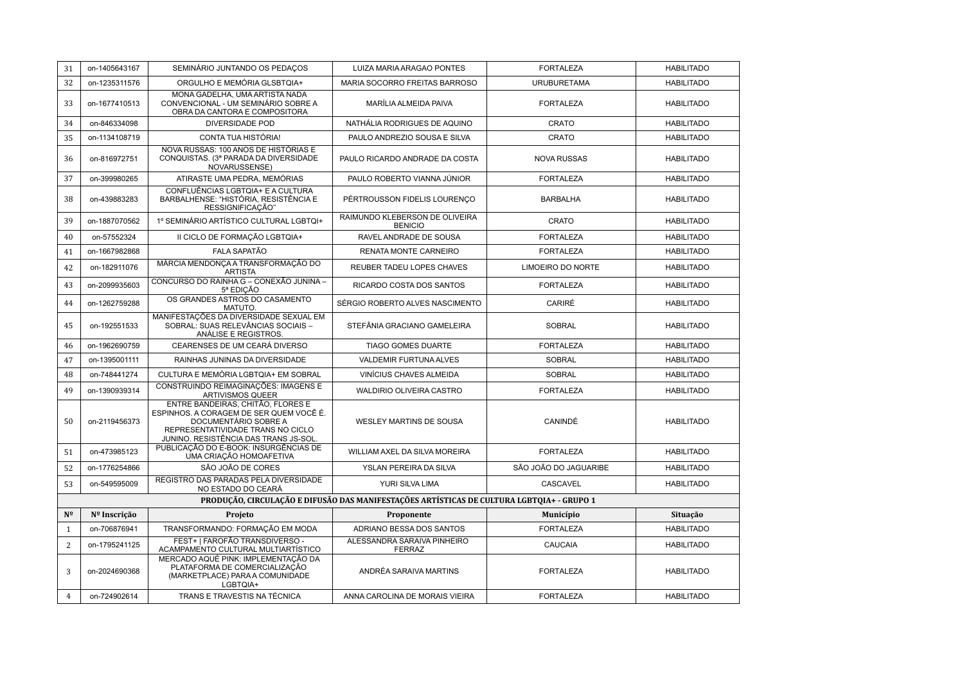| 31             | on-1405643167 | SEMINÁRIO JUNTANDO OS PEDAÇOS                                                                                                                                                      | LUIZA MARIA ARAGAO PONTES                                                                 | <b>FORTALEZA</b>      | <b>HABILITADO</b> |
|----------------|---------------|------------------------------------------------------------------------------------------------------------------------------------------------------------------------------------|-------------------------------------------------------------------------------------------|-----------------------|-------------------|
| 32             | on-1235311576 | ORGULHO E MEMÓRIA GLSBTQIA+                                                                                                                                                        | MARIA SOCORRO FREITAS BARROSO                                                             | <b>URUBURETAMA</b>    | <b>HABILITADO</b> |
| 33             | on-1677410513 | MONA GADELHA, UMA ARTISTA NADA<br>CONVENCIONAL - UM SEMINÁRIO SOBRE A<br>OBRA DA CANTORA E COMPOSITORA                                                                             | MARÍLIA ALMEIDA PAIVA                                                                     | <b>FORTALEZA</b>      | <b>HABILITADO</b> |
| 34             | on-846334098  | <b>DIVERSIDADE POD</b>                                                                                                                                                             | NATHÁLIA RODRIGUES DE AQUINO                                                              | CRATO                 | <b>HABILITADO</b> |
| 35             | on-1134108719 | CONTA TUA HISTÓRIA!                                                                                                                                                                | PAULO ANDREZIO SOUSA E SILVA                                                              | CRATO                 | <b>HABILITADO</b> |
| 36             | on-816972751  | NOVA RUSSAS: 100 ANOS DE HISTÓRIAS E<br>CONQUISTAS. (3ª PARADA DA DIVERSIDADE<br>NOVARUSSENSE)                                                                                     | PAULO RICARDO ANDRADE DA COSTA                                                            | <b>NOVA RUSSAS</b>    | <b>HABILITADO</b> |
| 37             | on-399980265  | ATIRASTE UMA PEDRA, MEMÓRIAS                                                                                                                                                       | PAULO ROBERTO VIANNA JÚNIOR                                                               | <b>FORTALEZA</b>      | <b>HABILITADO</b> |
| 38             | on-439883283  | CONFLUÊNCIAS LGBTQIA+ E A CULTURA<br>BARBALHENSE: "HISTÓRIA, RESISTÊNCIA E<br>RESSIGNIFICAÇÃO"                                                                                     | PÉRTROUSSON FIDELIS LOURENCO                                                              | <b>BARBALHA</b>       | <b>HABILITADO</b> |
| 39             | on-1887070562 | 1º SEMINÁRIO ARTÍSTICO CULTURAL LGBTQI+                                                                                                                                            | RAIMUNDO KLEBERSON DE OLIVEIRA<br><b>BENICIO</b>                                          | CRATO                 | <b>HABILITADO</b> |
| 40             | on-57552324   | II CICLO DE FORMAÇÃO LGBTQIA+                                                                                                                                                      | RAVEL ANDRADE DE SOUSA                                                                    | <b>FORTALEZA</b>      | <b>HABILITADO</b> |
| 41             | on-1667982868 | <b>FALA SAPATÃO</b>                                                                                                                                                                | RENATA MONTE CARNEIRO                                                                     | <b>FORTALEZA</b>      | <b>HABILITADO</b> |
| 42             | on-182911076  | MÁRCIA MENDONÇA A TRANSFORMAÇÃO DO<br><b>ARTISTA</b>                                                                                                                               | REUBER TADEU LOPES CHAVES                                                                 | LIMOEIRO DO NORTE     | <b>HABILITADO</b> |
| 43             | on-2099935603 | CONCURSO DO RAINHA G - CONEXÃO JUNINA -<br>5ª EDICÃO                                                                                                                               | RICARDO COSTA DOS SANTOS                                                                  | <b>FORTALEZA</b>      | <b>HABILITADO</b> |
| 44             | on-1262759288 | OS GRANDES ASTROS DO CASAMENTO<br>MATUTO.                                                                                                                                          | SÉRGIO ROBERTO ALVES NASCIMENTO                                                           | CARIRÉ                | <b>HABILITADO</b> |
| 45             | on-192551533  | MANIFESTAÇÕES DA DIVERSIDADE SEXUAL EM<br>SOBRAL: SUAS RELEVÂNCIAS SOCIAIS -<br>ANÁLISE E REGISTROS.                                                                               | STEFÂNIA GRACIANO GAMELEIRA                                                               | <b>SOBRAL</b>         | <b>HABILITADO</b> |
| 46             | on-1962690759 | CEARENSES DE UM CEARÁ DIVERSO                                                                                                                                                      | <b>TIAGO GOMES DUARTE</b>                                                                 | <b>FORTALEZA</b>      | <b>HABILITADO</b> |
| 47             | on-1395001111 | RAINHAS JUNINAS DA DIVERSIDADE                                                                                                                                                     | VALDEMIR FURTUNA ALVES                                                                    | <b>SOBRAL</b>         | <b>HABILITADO</b> |
| 48             | on-748441274  | CULTURA E MEMÓRIA LGBTQIA+ EM SOBRAL                                                                                                                                               | VINÍCIUS CHAVES ALMEIDA                                                                   | <b>SOBRAL</b>         | <b>HABILITADO</b> |
| 49             | on-1390939314 | CONSTRUINDO REIMAGINAÇÕES: IMAGENS E<br><b>ARTIVISMOS QUEER</b>                                                                                                                    | WALDIRIO OLIVEIRA CASTRO                                                                  | <b>FORTALEZA</b>      | <b>HABILITADO</b> |
| 50             | on-2119456373 | ENTRE BANDEIRAS, CHITÃO, FLORES E<br>ESPINHOS. A CORAGEM DE SER QUEM VOCÊ É.<br>DOCUMENTÁRIO SOBRE A<br>REPRESENTATIVIDADE TRANS NO CICLO<br>JUNINO. RESISTÊNCIA DAS TRANS JS-SOL. | WESLEY MARTINS DE SOUSA                                                                   | CANINDÉ               | <b>HABILITADO</b> |
| 51             | on-473985123  | PUBLICAÇÃO DO E-BOOK: INSURGÊNCIAS DE<br>UMA CRIAÇÃO HOMOAFETIVA                                                                                                                   | WILLIAM AXEL DA SILVA MOREIRA                                                             | <b>FORTALEZA</b>      | <b>HABILITADO</b> |
| 52             | on-1776254866 | SÃO JOÃO DE CORES                                                                                                                                                                  | YSLAN PEREIRA DA SILVA                                                                    | SÃO JOÃO DO JAGUARIBE | <b>HABILITADO</b> |
| 53             | on-549595009  | REGISTRO DAS PARADAS PELA DIVERSIDADE<br>NO ESTADO DO CEARÁ                                                                                                                        | YURI SILVA LIMA                                                                           | CASCAVEL              | <b>HABILITADO</b> |
|                |               |                                                                                                                                                                                    | PRODUÇÃO, CIRCULAÇÃO E DIFUSÃO DAS MANIFESTAÇÕES ARTÍSTICAS DE CULTURA LGBTQIA+ - GRUPO 1 |                       |                   |
| $N^{\Omega}$   | Nº Inscrição  | Projeto                                                                                                                                                                            | Proponente                                                                                | Município             | Situação          |
| $\mathbf{1}$   | on-706876941  | TRANSFORMANDO: FORMAÇÃO EM MODA                                                                                                                                                    | ADRIANO BESSA DOS SANTOS                                                                  | <b>FORTALEZA</b>      | <b>HABILITADO</b> |
| $\overline{2}$ | on-1795241125 | FEST+   FAROFÃO TRANSDIVERSO -<br>ACAMPAMENTO CULTURAL MULTIARTÍSTICO                                                                                                              | ALESSANDRA SARAIVA PINHEIRO<br><b>FERRAZ</b>                                              | CAUCAIA               | <b>HABILITADO</b> |
| 3              | on-2024690368 | MERCADO AQUÉ PINK: IMPLEMENTACÃO DA<br>PLATAFORMA DE COMERCIALIZAÇÃO<br>(MARKETPLACE) PARA A COMUNIDADE<br>LGBTQIA+                                                                | ANDRÉA SARAIVA MARTINS                                                                    | <b>FORTALEZA</b>      | <b>HABILITADO</b> |
| 4              | on-724902614  | TRANS E TRAVESTIS NA TÉCNICA                                                                                                                                                       | ANNA CAROLINA DE MORAIS VIEIRA                                                            | <b>FORTALEZA</b>      | <b>HABILITADO</b> |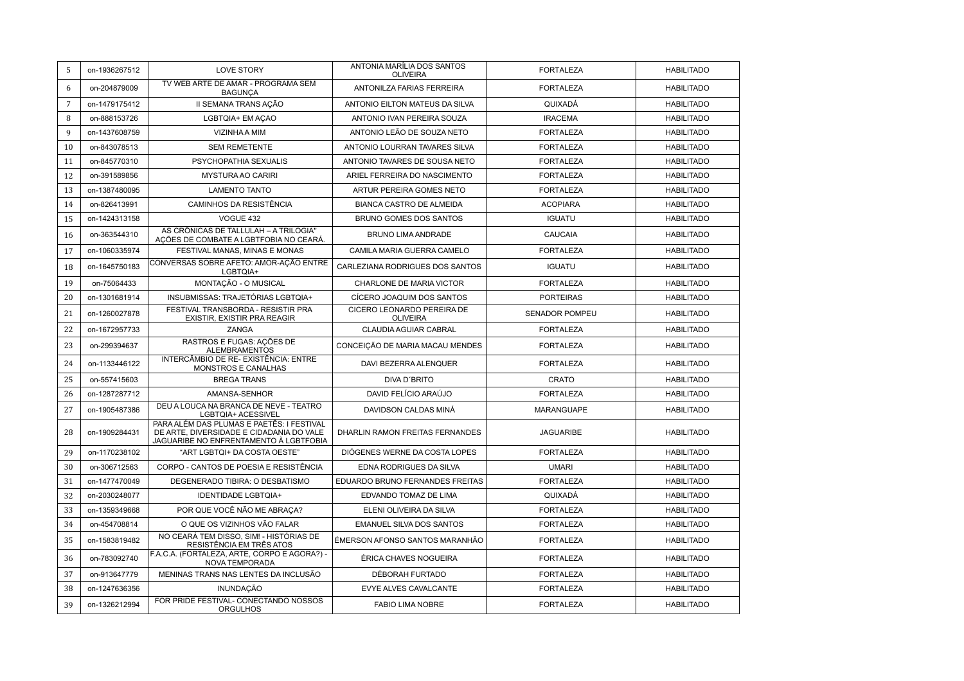| 5              | on-1936267512 | <b>LOVE STORY</b>                                                                                                               | ANTONIA MARÍLIA DOS SANTOS<br><b>OLIVEIRA</b> | <b>FORTALEZA</b>      | <b>HABILITADO</b> |
|----------------|---------------|---------------------------------------------------------------------------------------------------------------------------------|-----------------------------------------------|-----------------------|-------------------|
| 6              | on-204879009  | TV WEB ARTE DE AMAR - PROGRAMA SEM<br><b>BAGUNCA</b>                                                                            | ANTONILZA FARIAS FERREIRA                     | <b>FORTALEZA</b>      | <b>HABILITADO</b> |
| $\overline{7}$ | on-1479175412 | II SEMANA TRANS ACÃO                                                                                                            | ANTONIO EILTON MATEUS DA SILVA                | QUIXADÁ               | <b>HABILITADO</b> |
| 8              | on-888153726  | LGBTQIA+ EM ACAO                                                                                                                | ANTONIO IVAN PEREIRA SOUZA                    | <b>IRACEMA</b>        | <b>HABILITADO</b> |
| $\mathbf{q}$   | on-1437608759 | VIZINHA A MIM                                                                                                                   | ANTONIO LEÃO DE SOUZA NETO                    | <b>FORTALEZA</b>      | <b>HABILITADO</b> |
| 10             | on-843078513  | <b>SEM REMETENTE</b>                                                                                                            | ANTONIO LOURRAN TAVARES SILVA                 | <b>FORTALEZA</b>      | <b>HABILITADO</b> |
| 11             | on-845770310  | PSYCHOPATHIA SEXUALIS                                                                                                           | ANTONIO TAVARES DE SOUSA NETO                 | <b>FORTALEZA</b>      | <b>HABILITADO</b> |
| 12             | on-391589856  | <b>MYSTURA AO CARIRI</b>                                                                                                        | ARIEL FERREIRA DO NASCIMENTO                  | <b>FORTALEZA</b>      | <b>HABILITADO</b> |
| 13             | on-1387480095 | <b>LAMENTO TANTO</b>                                                                                                            | ARTUR PEREIRA GOMES NETO                      | <b>FORTALEZA</b>      | <b>HABILITADO</b> |
| 14             | on-826413991  | CAMINHOS DA RESISTÊNCIA                                                                                                         | <b>BIANCA CASTRO DE ALMEIDA</b>               | <b>ACOPIARA</b>       | <b>HABILITADO</b> |
| 15             | on-1424313158 | VOGUE 432                                                                                                                       | <b>BRUNO GOMES DOS SANTOS</b>                 | <b>IGUATU</b>         | <b>HABILITADO</b> |
| 16             | on-363544310  | AS CRÔNICAS DE TALLULAH - A TRILOGIA"<br>AÇÕES DE COMBATE A LGBTFOBIA NO CEARÁ.                                                 | BRUNO LIMA ANDRADE                            | CAUCAIA               | <b>HABILITADO</b> |
| 17             | on-1060335974 | FESTIVAL MANAS, MINAS E MONAS                                                                                                   | CAMILA MARIA GUERRA CAMELO                    | <b>FORTALEZA</b>      | <b>HABILITADO</b> |
| 18             | on-1645750183 | CONVERSAS SOBRE AFETO: AMOR-AÇÃO ENTRE<br>LGBTQIA+                                                                              | CARLEZIANA RODRIGUES DOS SANTOS               | <b>IGUATU</b>         | <b>HABILITADO</b> |
| 19             | on-75064433   | MONTAÇÃO - O MUSICAL                                                                                                            | CHARLONE DE MARIA VICTOR                      | <b>FORTALEZA</b>      | <b>HABILITADO</b> |
| 20             | on-1301681914 | INSUBMISSAS: TRAJETÓRIAS LGBTQIA+                                                                                               | CÍCERO JOAQUIM DOS SANTOS                     | <b>PORTEIRAS</b>      | <b>HABILITADO</b> |
| 21             | on-1260027878 | FESTIVAL TRANSBORDA - RESISTIR PRA<br><b>EXISTIR, EXISTIR PRA REAGIR</b>                                                        | CICERO LEONARDO PEREIRA DE<br><b>OLIVEIRA</b> | <b>SENADOR POMPEU</b> | <b>HABILITADO</b> |
| 22             | on-1672957733 | ZANGA                                                                                                                           | <b>CLAUDIA AGUIAR CABRAL</b>                  | <b>FORTALEZA</b>      | <b>HABILITADO</b> |
| 23             | on-299394637  | RASTROS E FUGAS: AÇÕES DE<br><b>ALEMBRAMENTOS</b>                                                                               | CONCEIÇÃO DE MARIA MACAU MENDES               | <b>FORTALEZA</b>      | <b>HABILITADO</b> |
| 24             | on-1133446122 | INTERCÂMBIO DE RE- EXISTÊNCIA: ENTRE<br>MONSTROS E CANALHAS                                                                     | DAVI BEZERRA ALENQUER                         | <b>FORTALEZA</b>      | <b>HABILITADO</b> |
| 25             | on-557415603  | <b>BREGA TRANS</b>                                                                                                              | DIVA D'BRITO                                  | CRATO                 | <b>HABILITADO</b> |
| 26             | on-1287287712 | AMANSA-SENHOR                                                                                                                   | DAVID FELÍCIO ARAÚJO                          | <b>FORTALEZA</b>      | <b>HABILITADO</b> |
| 27             | on-1905487386 | DEU A LOUCA NA BRANCA DE NEVE - TEATRO<br>LGBTQIA+ ACESSIVEL                                                                    | DAVIDSON CALDAS MINÁ                          | <b>MARANGUAPE</b>     | <b>HABILITADO</b> |
| 28             | on-1909284431 | PARA ALÉM DAS PLUMAS E PAETÊS: I FESTIVAL<br>DE ARTE, DIVERSIDADE E CIDADANIA DO VALE<br>JAGUARIBE NO ENFRENTAMENTO À LGBTFOBIA | DHARLIN RAMON FREITAS FERNANDES               | <b>JAGUARIBE</b>      | <b>HABILITADO</b> |
| 29             | on-1170238102 | "ART LGBTQI+ DA COSTA OESTE"                                                                                                    | DIÓGENES WERNE DA COSTA LOPES                 | <b>FORTALEZA</b>      | <b>HABILITADO</b> |
| 30             | on-306712563  | CORPO - CANTOS DE POESIA E RESISTÊNCIA                                                                                          | EDNA RODRIGUES DA SILVA                       | <b>UMARI</b>          | <b>HABILITADO</b> |
| 31             | on-1477470049 | DEGENERADO TIBIRA: O DESBATISMO                                                                                                 | EDUARDO BRUNO FERNANDES FREITAS               | <b>FORTALEZA</b>      | <b>HABILITADO</b> |
| 32             | on-2030248077 | <b>IDENTIDADE LGBTQIA+</b>                                                                                                      | EDVANDO TOMAZ DE LIMA                         | QUIXADÁ               | <b>HABILITADO</b> |
| 33             | on-1359349668 | POR QUE VOCÊ NÃO ME ABRACA?                                                                                                     | ELENI OLIVEIRA DA SILVA                       | <b>FORTALEZA</b>      | <b>HABILITADO</b> |
| 34             | on-454708814  | O QUE OS VIZINHOS VÃO FALAR                                                                                                     | <b>EMANUEL SILVA DOS SANTOS</b>               | <b>FORTALEZA</b>      | <b>HABILITADO</b> |
| 35             | on-1583819482 | NO CEARÁ TEM DISSO, SIM! - HISTÓRIAS DE<br>RESISTÊNCIA EM TRÊS ATOS                                                             | ÉMERSON AFONSO SANTOS MARANHÃO                | <b>FORTALEZA</b>      | <b>HABILITADO</b> |
| 36             | on-783092740  | F.A.C.A. (FORTALEZA, ARTE, CORPO E AGORA?) -<br>NOVA TEMPORADA                                                                  | ÉRICA CHAVES NOGUEIRA                         | <b>FORTALEZA</b>      | <b>HABILITADO</b> |
| 37             | on-913647779  | MENINAS TRANS NAS LENTES DA INCLUSÃO                                                                                            | DÉBORAH FURTADO                               | <b>FORTALEZA</b>      | <b>HABILITADO</b> |
| 38             | on-1247636356 | INUNDAÇÃO                                                                                                                       | <b>EVYE ALVES CAVALCANTE</b>                  | <b>FORTALEZA</b>      | <b>HABILITADO</b> |
| 39             | on-1326212994 | FOR PRIDE FESTIVAL- CONECTANDO NOSSOS<br><b>ORGULHOS</b>                                                                        | <b>FABIO LIMA NOBRE</b>                       | <b>FORTALEZA</b>      | <b>HABILITADO</b> |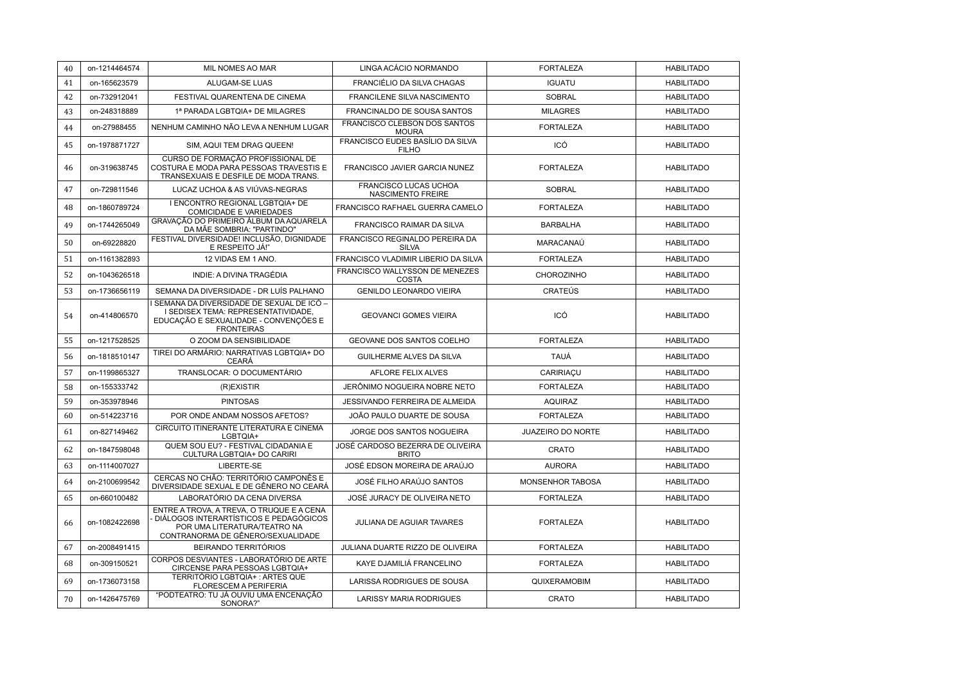| 40 | on-1214464574 | MIL NOMES AO MAR                                                                                                                                         | LINGA ACÁCIO NORMANDO                             | <b>FORTALEZA</b>  | <b>HABILITADO</b> |
|----|---------------|----------------------------------------------------------------------------------------------------------------------------------------------------------|---------------------------------------------------|-------------------|-------------------|
| 41 | on-165623579  | ALUGAM-SE LUAS                                                                                                                                           | <b>FRANCIÉLIO DA SILVA CHAGAS</b>                 | <b>IGUATU</b>     | <b>HABILITADO</b> |
| 42 | on-732912041  | FESTIVAL QUARENTENA DE CINEMA                                                                                                                            | <b>FRANCILENE SILVA NASCIMENTO</b>                | <b>SOBRAL</b>     | <b>HABILITADO</b> |
| 43 | on-248318889  | 1ª PARADA LGBTQIA+ DE MILAGRES                                                                                                                           | <b>FRANCINALDO DE SOUSA SANTOS</b>                | <b>MILAGRES</b>   | <b>HABILITADO</b> |
| 44 | on-27988455   | NENHUM CAMINHO NÃO LEVA A NENHUM LUGAR                                                                                                                   | FRANCISCO CLEBSON DOS SANTOS<br><b>MOURA</b>      | <b>FORTALEZA</b>  | <b>HABILITADO</b> |
| 45 | on-1978871727 | SIM, AQUI TEM DRAG QUEEN!                                                                                                                                | FRANCISCO EUDES BASÍLIO DA SILVA<br><b>FILHO</b>  | ICÓ               | <b>HABILITADO</b> |
| 46 | on-319638745  | CURSO DE FORMAÇÃO PROFISSIONAL DE<br>COSTURA E MODA PARA PESSOAS TRAVESTIS E<br>TRANSEXUAIS E DESFILE DE MODA TRANS.                                     | FRANCISCO JAVIER GARCIA NUNEZ                     | <b>FORTALEZA</b>  | <b>HABILITADO</b> |
| 47 | on-729811546  | LUCAZ UCHOA & AS VIÚVAS-NEGRAS                                                                                                                           | FRANCISCO LUCAS UCHOA<br><b>NASCIMENTO FREIRE</b> | <b>SOBRAL</b>     | <b>HABILITADO</b> |
| 48 | on-1860789724 | I ENCONTRO REGIONAL LGBTQIA+ DE<br><b>COMICIDADE E VARIEDADES</b>                                                                                        | FRANCISCO RAFHAEL GUERRA CAMELO                   | <b>FORTALEZA</b>  | <b>HABILITADO</b> |
| 49 | on-1744265049 | GRAVAÇÃO DO PRIMEIRO ÁLBUM DA AQUARELA<br>DA MÃE SOMBRIA: "PARTINDO"                                                                                     | <b>FRANCISCO RAIMAR DA SILVA</b>                  | <b>BARBALHA</b>   | <b>HABILITADO</b> |
| 50 | on-69228820   | FESTIVAL DIVERSIDADE! INCLUSÃO, DIGNIDADE<br>E RESPEITO JÁ!"                                                                                             | FRANCISCO REGINALDO PEREIRA DA<br><b>SILVA</b>    | MARACANAÚ         | <b>HABILITADO</b> |
| 51 | on-1161382893 | 12 VIDAS EM 1 ANO.                                                                                                                                       | FRANCISCO VLADIMIR LIBERIO DA SILVA               | <b>FORTALEZA</b>  | <b>HABILITADO</b> |
| 52 | on-1043626518 | INDIE: A DIVINA TRAGÉDIA                                                                                                                                 | FRANCISCO WALLYSSON DE MENEZES<br><b>COSTA</b>    | CHOROZINHO        | <b>HABILITADO</b> |
| 53 | on-1736656119 | SEMANA DA DIVERSIDADE - DR LUÍS PALHANO                                                                                                                  | <b>GENILDO LEONARDO VIEIRA</b>                    | <b>CRATEÚS</b>    | <b>HABILITADO</b> |
| 54 | on-414806570  | SEMANA DA DIVERSIDADE DE SEXUAL DE ICÓ -<br>I SEDISEX TEMA: REPRESENTATIVIDADE,<br>EDUCAÇÃO E SEXUALIDADE - CONVENÇÕES E<br><b>FRONTEIRAS</b>            | <b>GEOVANCI GOMES VIEIRA</b>                      | ICÓ               | <b>HABILITADO</b> |
| 55 | on-1217528525 | O ZOOM DA SENSIBILIDADE                                                                                                                                  | GEOVANE DOS SANTOS COELHO                         | <b>FORTALEZA</b>  | <b>HABILITADO</b> |
|    |               |                                                                                                                                                          |                                                   |                   |                   |
| 56 | on-1818510147 | TIREI DO ARMÁRIO: NARRATIVAS LGBTQIA+ DO<br><b>CEARÁ</b>                                                                                                 | GUILHERME ALVES DA SILVA                          | <b>TAUÁ</b>       | <b>HABILITADO</b> |
| 57 | on-1199865327 | TRANSLOCAR: O DOCUMENTÁRIO                                                                                                                               | <b>AFLORE FELIX ALVES</b>                         | CARIRIACU         | <b>HABILITADO</b> |
| 58 | on-155333742  | (R)EXISTIR                                                                                                                                               | JERÔNIMO NOGUEIRA NOBRE NETO                      | <b>FORTALEZA</b>  | <b>HABILITADO</b> |
| 59 | on-353978946  | <b>PINTOSAS</b>                                                                                                                                          | JESSIVANDO FERREIRA DE ALMEIDA                    | <b>AQUIRAZ</b>    | <b>HABILITADO</b> |
| 60 | on-514223716  | POR ONDE ANDAM NOSSOS AFETOS?                                                                                                                            | JOÃO PAULO DUARTE DE SOUSA                        | <b>FORTALEZA</b>  | <b>HABILITADO</b> |
| 61 | on-827149462  | CIRCUITO ITINERANTE LITERATURA E CINEMA<br>LGBTQIA+                                                                                                      | JORGE DOS SANTOS NOGUEIRA                         | JUAZEIRO DO NORTE | <b>HABILITADO</b> |
| 62 | on-1847598048 | QUEM SOU EU? - FESTIVAL CIDADANIA E<br>CULTURA LGBTQIA+ DO CARIRI                                                                                        | JOSÉ CARDOSO BEZERRA DE OLIVEIRA<br><b>BRITO</b>  | CRATO             | <b>HABILITADO</b> |
| 63 | on-1114007027 | LIBERTE-SE                                                                                                                                               | JOSÉ EDSON MOREIRA DE ARAÚJO                      | <b>AURORA</b>     | <b>HABILITADO</b> |
| 64 | on-2100699542 | CERCAS NO CHÃO: TERRITÓRIO CAMPONÊS E<br>DIVERSIDADE SEXUAL E DE GÊNERO NO CEARÁ                                                                         | JOSÉ FILHO ARAÚJO SANTOS                          | MONSENHOR TABOSA  | <b>HABILITADO</b> |
| 65 | on-660100482  | LABORATÓRIO DA CENA DIVERSA                                                                                                                              | JOSÉ JURACY DE OLIVEIRA NETO                      | <b>FORTALEZA</b>  | <b>HABILITADO</b> |
| 66 | on-1082422698 | ENTRE A TROVA, A TREVA, O TRUQUE E A CENA<br>DIÁLOGOS INTERARTÍSTICOS E PEDAGÓGICOS<br>POR UMA LITERATURA/TEATRO NA<br>CONTRANORMA DE GÊNERO/SEXUALIDADE | JULIANA DE AGUIAR TAVARES                         | <b>FORTALEZA</b>  | <b>HABILITADO</b> |
| 67 | on-2008491415 | BEIRANDO TERRITÓRIOS                                                                                                                                     | JULIANA DUARTE RIZZO DE OLIVEIRA                  | <b>FORTALEZA</b>  | <b>HABILITADO</b> |
| 68 | on-309150521  | CORPOS DESVIANTES - LABORATÓRIO DE ARTE<br>CIRCENSE PARA PESSOAS LGBTQIA+                                                                                | KAYE DJAMILIÁ FRANCELINO                          | <b>FORTALEZA</b>  | <b>HABILITADO</b> |
| 69 | on-1736073158 | TERRITÓRIO LGBTQIA+ : ARTES QUE<br><b>FLORESCEM A PERIFERIA</b><br>"PODTEATRO: TU JÁ OUVIU UMA ENCENAÇÃO                                                 | LARISSA RODRIGUES DE SOUSA                        | QUIXERAMOBIM      | <b>HABILITADO</b> |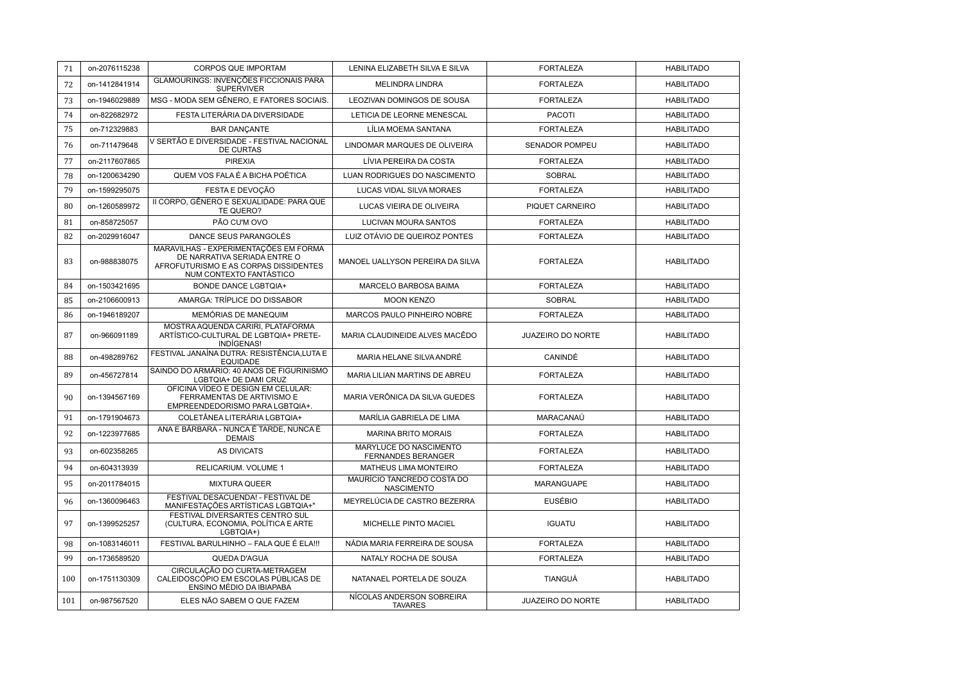| 71  | on-2076115238 | <b>CORPOS QUE IMPORTAM</b>                                                                                                                | LENINA ELIZABETH SILVA E SILVA                      | <b>FORTALEZA</b>         | <b>HABILITADO</b> |
|-----|---------------|-------------------------------------------------------------------------------------------------------------------------------------------|-----------------------------------------------------|--------------------------|-------------------|
| 72  | on-1412841914 | GLAMOURINGS: INVENÇÕES FICCIONAIS PARA<br><b>SUPERVIVER</b>                                                                               | <b>MELINDRA LINDRA</b>                              | <b>FORTALEZA</b>         | <b>HABILITADO</b> |
| 73  | on-1946029889 | MSG - MODA SEM GÊNERO, E FATORES SOCIAIS.                                                                                                 | LEOZIVAN DOMINGOS DE SOUSA                          | <b>FORTALEZA</b>         | <b>HABILITADO</b> |
| 74  | on-822682972  | FESTA LITERÁRIA DA DIVERSIDADE                                                                                                            | LETICIA DE LEORNE MENESCAL                          | <b>PACOTI</b>            | <b>HABILITADO</b> |
| 75  | on-712329883  | <b>BAR DANCANTE</b>                                                                                                                       | LÍLIA MOEMA SANTANA                                 | <b>FORTALEZA</b>         | <b>HABILITADO</b> |
| 76  | on-711479648  | V SERTÃO E DIVERSIDADE - FESTIVAL NACIONAL<br><b>DE CURTAS</b>                                                                            | LINDOMAR MARQUES DE OLIVEIRA                        | SENADOR POMPEU           | <b>HABILITADO</b> |
| 77  | on-2117607865 | <b>PIREXIA</b>                                                                                                                            | LÍVIA PEREIRA DA COSTA                              | <b>FORTALEZA</b>         | <b>HABILITADO</b> |
| 78  | on-1200634290 | QUEM VOS FALA É A BICHA POÉTICA                                                                                                           | LUAN RODRIGUES DO NASCIMENTO                        | <b>SOBRAL</b>            | <b>HABILITADO</b> |
| 79  | on-1599295075 | FESTA E DEVOÇÃO                                                                                                                           | <b>LUCAS VIDAL SILVA MORAES</b>                     | <b>FORTALEZA</b>         | <b>HABILITADO</b> |
| 80  | on-1260589972 | II CORPO. GÊNERO E SEXUALIDADE: PARA QUE<br>TE QUERO?                                                                                     | LUCAS VIEIRA DE OLIVEIRA                            | PIQUET CARNEIRO          | <b>HABILITADO</b> |
| 81  | on-858725057  | PÃO CU'M OVO                                                                                                                              | LUCIVAN MOURA SANTOS                                | <b>FORTALEZA</b>         | <b>HABILITADO</b> |
| 82  | on-2029916047 | DANCE SEUS PARANGOLÉS                                                                                                                     | LUIZ OTÁVIO DE QUEIROZ PONTES                       | <b>FORTALEZA</b>         | <b>HABILITADO</b> |
| 83  | on-988838075  | MARAVILHAS - EXPERIMENTAÇÕES EM FORMA<br>DE NARRATIVA SERIADA ENTRE O<br>AFROFUTURISMO E AS CORPAS DISSIDENTES<br>NUM CONTEXTO FANTÁSTICO | MANOEL UALLYSON PEREIRA DA SILVA                    | <b>FORTALEZA</b>         | <b>HABILITADO</b> |
| 84  | on-1503421695 | <b>BONDE DANCE LGBTQIA+</b>                                                                                                               | MARCELO BARBOSA BAIMA                               | <b>FORTALEZA</b>         | <b>HABILITADO</b> |
| 85  | on-2106600913 | AMARGA: TRÍPLICE DO DISSABOR                                                                                                              | <b>MOON KENZO</b>                                   | <b>SOBRAL</b>            | <b>HABILITADO</b> |
| 86  | on-1946189207 | MEMÓRIAS DE MANEQUIM                                                                                                                      | MARCOS PAULO PINHEIRO NOBRE                         | <b>FORTALEZA</b>         | <b>HABILITADO</b> |
| 87  | on-966091189  | MOSTRA AQUENDA CARIRI. PLATAFORMA<br>ARTÍSTICO-CULTURAL DE LGBTQIA+ PRETE-<br>INDÍGENAS!                                                  | MARIA CLAUDINEIDE ALVES MACÊDO                      | JUAZEIRO DO NORTE        | <b>HABILITADO</b> |
| 88  | on-498289762  | FESTIVAL JANAÍNA DUTRA: RESISTÊNCIA, LUTA E<br><b>EQUIDADE</b>                                                                            | MARIA HELANE SILVA ANDRÉ                            | CANINDÉ                  | <b>HABILITADO</b> |
| 89  | on-456727814  | SAINDO DO ARMÁRIO: 40 ANOS DE FIGURINISMO<br>LGBTQIA+ DE DAMI CRUZ                                                                        | MARIA LILIAN MARTINS DE ABREU                       | <b>FORTALEZA</b>         | <b>HABILITADO</b> |
| 90  | on-1394567169 | OFICINA VÍDEO E DESIGN EM CELULAR:<br>FERRAMENTAS DE ARTIVISMO E<br>EMPREENDEDORISMO PARA LGBTQIA+.                                       | MARIA VERÔNICA DA SILVA GUEDES                      | <b>FORTALEZA</b>         | <b>HABILITADO</b> |
| 91  | on-1791904673 | COLETÂNEA LITERÁRIA LGBTQIA+                                                                                                              | MARÍLIA GABRIELA DE LIMA                            | MARACANAÚ                | <b>HABILITADO</b> |
| 92  | on-1223977685 | ANA E BÁRBARA - NUNCA É TARDE, NUNCA É<br><b>DEMAIS</b>                                                                                   | <b>MARINA BRITO MORAIS</b>                          | <b>FORTALEZA</b>         | <b>HABILITADO</b> |
| 93  | on-602358265  | <b>AS DIVICATS</b>                                                                                                                        | MARYLUCE DO NASCIMENTO<br><b>FERNANDES BERANGER</b> | <b>FORTALEZA</b>         | <b>HABILITADO</b> |
| 94  | on-604313939  | RELICARIUM. VOLUME 1                                                                                                                      | MATHEUS LIMA MONTEIRO                               | <b>FORTALEZA</b>         | <b>HABILITADO</b> |
| 95  | on-2011784015 | <b>MIXTURA QUEER</b>                                                                                                                      | MAURÍCIO TANCREDO COSTA DO<br><b>NASCIMENTO</b>     | <b>MARANGUAPE</b>        | <b>HABILITADO</b> |
| 96  | on-1360096463 | FESTIVAL DESACUENDA! - FESTIVAL DE<br>MANIFESTAÇÕES ARTÍSTICAS LGBTQIA+"                                                                  | MEYRELÚCIA DE CASTRO BEZERRA                        | <b>EUSÉBIO</b>           | <b>HABILITADO</b> |
| 97  | on-1399525257 | FESTIVAL DIVERSARTES CENTRO SUL<br>(CULTURA, ECONOMIA, POLÍTICA E ARTE<br>LGBTQIA+)                                                       | MICHELLE PINTO MACIEL                               | <b>IGUATU</b>            | <b>HABILITADO</b> |
| 98  | on-1083146011 | FESTIVAL BARULHINHO - FALA QUE É ELA !!!                                                                                                  | NÁDIA MARIA FERREIRA DE SOUSA                       | <b>FORTALEZA</b>         | <b>HABILITADO</b> |
| 99  | on-1736589520 | QUEDA D'AGUA                                                                                                                              | NATALY ROCHA DE SOUSA                               | <b>FORTALEZA</b>         | <b>HABILITADO</b> |
| 100 | on-1751130309 | CIRCULACÃO DO CURTA-METRAGEM<br>CALEIDOSCÓPIO EM ESCOLAS PÚBLICAS DE<br>ENSINO MÉDIO DA IBIAPABA                                          | NATANAEL PORTELA DE SOUZA                           | <b>TIANGUÁ</b>           | <b>HABILITADO</b> |
| 101 | on-987567520  | ELES NÃO SABEM O QUE FAZEM                                                                                                                | NÍCOLAS ANDERSON SOBREIRA<br><b>TAVARES</b>         | <b>JUAZEIRO DO NORTE</b> | <b>HABILITADO</b> |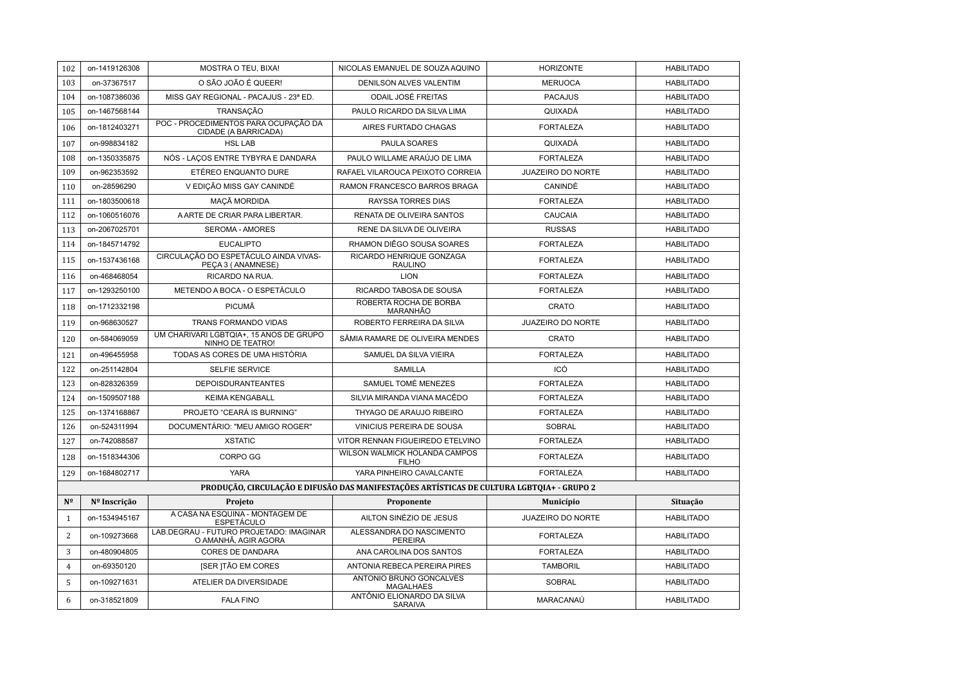| 102            | on-1419126308 | MOSTRA O TEU, BIXA!                                             | NICOLAS EMANUEL DE SOUZA AQUINO                                                           | <b>HORIZONTE</b>         | <b>HABILITADO</b> |
|----------------|---------------|-----------------------------------------------------------------|-------------------------------------------------------------------------------------------|--------------------------|-------------------|
| 103            | on-37367517   | O SÃO JOÃO É QUEER!                                             | <b>DENILSON ALVES VALENTIM</b>                                                            | <b>MERUOCA</b>           | <b>HABILITADO</b> |
| 104            | on-1087386036 | MISS GAY REGIONAL - PACAJUS - 23ª ED.                           | <b>ODAIL JOSÉ FREITAS</b>                                                                 | <b>PACAJUS</b>           | <b>HABILITADO</b> |
| 105            | on-1467568144 | TRANSAÇÃO                                                       | PAULO RICARDO DA SILVA LIMA                                                               | QUIXADÁ                  | <b>HABILITADO</b> |
| 106            | on-1812403271 | POC - PROCEDIMENTOS PARA OCUPAÇÃO DA<br>CIDADE (A BARRICADA)    | AIRES FURTADO CHAGAS                                                                      | <b>FORTALEZA</b>         | <b>HABILITADO</b> |
| 107            | on-998834182  | <b>HSL LAB</b>                                                  | PAULA SOARES                                                                              | QUIXADÁ                  | <b>HABILITADO</b> |
| 108            | on-1350335875 | NÓS - LAÇOS ENTRE TYBYRA E DANDARA                              | PAULO WILLAME ARAÚJO DE LIMA                                                              | <b>FORTALEZA</b>         | <b>HABILITADO</b> |
| 109            | on-962353592  | ETÉREO ENQUANTO DURE                                            | RAFAEL VILAROUCA PEIXOTO CORREIA                                                          | <b>JUAZEIRO DO NORTE</b> | <b>HABILITADO</b> |
| 110            | on-28596290   | V EDIÇÃO MISS GAY CANINDÉ                                       | RAMON FRANCESCO BARROS BRAGA                                                              | CANINDÉ                  | <b>HABILITADO</b> |
| 111            | on-1803500618 | MAÇÃ MORDIDA                                                    | <b>RAYSSA TORRES DIAS</b>                                                                 | <b>FORTALEZA</b>         | <b>HABILITADO</b> |
| 112            | on-1060516076 | A ARTE DE CRIAR PARA LIBERTAR.                                  | RENATA DE OLIVEIRA SANTOS                                                                 | <b>CAUCAIA</b>           | <b>HABILITADO</b> |
| 113            | on-2067025701 | <b>SEROMA - AMORES</b>                                          | RENE DA SILVA DE OLIVEIRA                                                                 | <b>RUSSAS</b>            | <b>HABILITADO</b> |
| 114            | on-1845714792 | <b>EUCALIPTO</b>                                                | RHAMON DIÊGO SOUSA SOARES                                                                 | <b>FORTALEZA</b>         | <b>HABILITADO</b> |
| 115            | on-1537436168 | CIRCULAÇÃO DO ESPETÁCULO AINDA VIVAS-<br>PEÇA 3 (ANAMNESE)      | RICARDO HENRIQUE GONZAGA<br><b>RAULINO</b>                                                | <b>FORTALEZA</b>         | <b>HABILITADO</b> |
| 116            | on-468468054  | RICARDO NA RUA.                                                 | <b>LION</b>                                                                               | <b>FORTALEZA</b>         | <b>HABILITADO</b> |
| 117            | on-1293250100 | METENDO A BOCA - O ESPETÁCULO                                   | RICARDO TABOSA DE SOUSA                                                                   | <b>FORTALEZA</b>         | <b>HABILITADO</b> |
| 118            | on-1712332198 | PICUMÃ                                                          | ROBERTA ROCHA DE BORBA<br>MARANHÃO                                                        | CRATO                    | <b>HABILITADO</b> |
| 119            | on-968630527  | TRANS FORMANDO VIDAS                                            | ROBERTO FERREIRA DA SILVA                                                                 | JUAZEIRO DO NORTE        | <b>HABILITADO</b> |
| 120            | on-584069059  | UM CHARIVARI LGBTQIA+, 15 ANOS DE GRUPO<br>NINHO DE TEATRO!     | SÂMIA RAMARE DE OLIVEIRA MENDES                                                           | CRATO                    | <b>HABILITADO</b> |
| 121            | on-496455958  | TODAS AS CORES DE UMA HISTÓRIA                                  | SAMUEL DA SILVA VIEIRA                                                                    | <b>FORTALEZA</b>         | <b>HABILITADO</b> |
| 122            | on-251142804  | <b>SELFIE SERVICE</b>                                           | <b>SAMILLA</b>                                                                            | ICÓ                      | <b>HABILITADO</b> |
| 123            | on-828326359  | <b>DEPOISDURANTEANTES</b>                                       | SAMUEL TOMÉ MENEZES                                                                       | <b>FORTALEZA</b>         | <b>HABILITADO</b> |
| 124            | on-1509507188 | <b>KEIMA KENGABALL</b>                                          | SILVIA MIRANDA VIANA MACÊDO                                                               | <b>FORTALEZA</b>         | <b>HABILITADO</b> |
| 125            | on-1374168867 | PROJETO "CEARÁ IS BURNING"                                      | THYAGO DE ARAUJO RIBEIRO                                                                  | <b>FORTALEZA</b>         | <b>HABILITADO</b> |
| 126            | on-524311994  | DOCUMENTÁRIO: "MEU AMIGO ROGER"                                 | VINICIUS PEREIRA DE SOUSA                                                                 | <b>SOBRAL</b>            | <b>HABILITADO</b> |
| 127            | on-742088587  | <b>XSTATIC</b>                                                  | VITOR RENNAN FIGUEIREDO ETELVINO                                                          | <b>FORTALEZA</b>         | <b>HABILITADO</b> |
| 128            | on-1518344306 | CORPO GG                                                        | WILSON WALMICK HOLANDA CAMPOS<br><b>FILHO</b>                                             | <b>FORTALEZA</b>         | <b>HABILITADO</b> |
| 129            | on-1684802717 | <b>YARA</b>                                                     | YARA PINHEIRO CAVALCANTE                                                                  | <b>FORTALEZA</b>         | <b>HABILITADO</b> |
|                |               |                                                                 | PRODUÇÃO, CIRCULAÇÃO E DIFUSÃO DAS MANIFESTAÇÕES ARTÍSTICAS DE CULTURA LGBTQIA+ - GRUPO 2 |                          |                   |
| $N^{\Omega}$   | Nº Inscrição  | Projeto                                                         | Proponente                                                                                | <b>Município</b>         | Situação          |
| $\mathbf{1}$   | on-1534945167 | A CASA NA ESQUINA - MONTAGEM DE<br><b>ESPETÁCULO</b>            | AILTON SINÉZIO DE JESUS                                                                   | JUAZEIRO DO NORTE        | <b>HABILITADO</b> |
| $\overline{2}$ | on-109273668  | LAB.DEGRAU - FUTURO PROJETADO: IMAGINAR<br>O AMANHÃ, AGIR AGORA | ALESSANDRA DO NASCIMENTO<br><b>PEREIRA</b>                                                | <b>FORTALEZA</b>         | <b>HABILITADO</b> |
| 3              | on-480904805  | CORES DE DANDARA                                                | ANA CAROLINA DOS SANTOS                                                                   | <b>FORTALEZA</b>         | <b>HABILITADO</b> |
| $\overline{4}$ | on-69350120   | <b>ISER ITÃO EM CORES</b>                                       | ANTONIA REBECA PEREIRA PIRES                                                              | <b>TAMBORIL</b>          | <b>HABILITADO</b> |
| 5              | on-109271631  | ATELIER DA DIVERSIDADE                                          | ANTONIO BRUNO GONCALVES<br><b>MAGALHAES</b>                                               | <b>SOBRAL</b>            | <b>HABILITADO</b> |
| 6              | on-318521809  | <b>FALA FINO</b>                                                | ANTÔNIO ELIONARDO DA SILVA<br><b>SARAIVA</b>                                              | MARACANAÚ                | <b>HABILITADO</b> |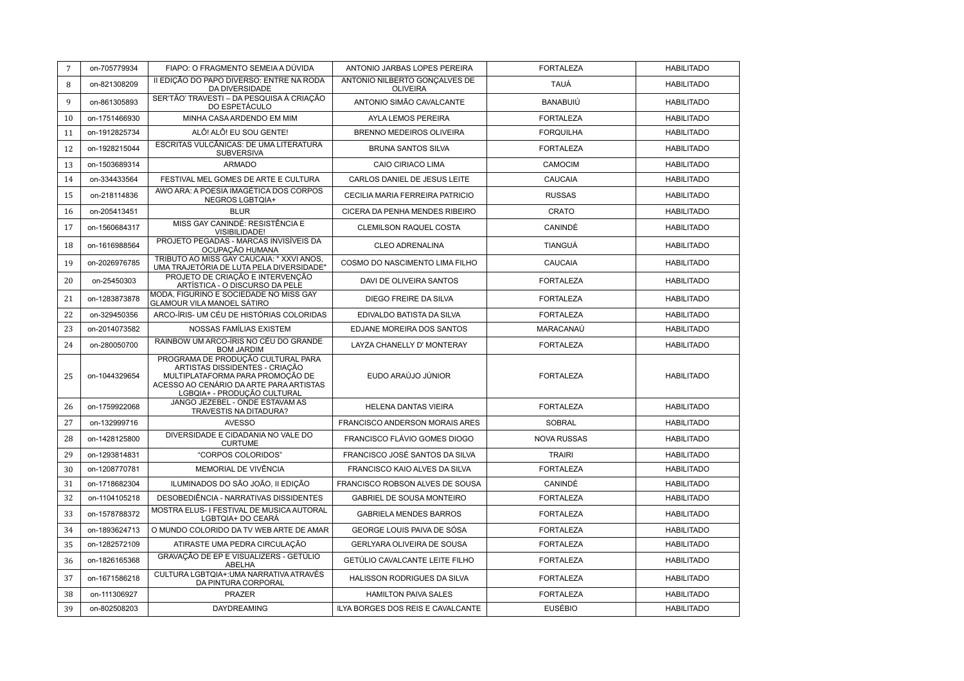| $7\overline{ }$ | on-705779934  | FIAPO: O FRAGMENTO SEMEIA A DÚVIDA                                                                                                                                                 | ANTONIO JARBAS LOPES PEREIRA                     | <b>FORTALEZA</b>   | <b>HABILITADO</b> |
|-----------------|---------------|------------------------------------------------------------------------------------------------------------------------------------------------------------------------------------|--------------------------------------------------|--------------------|-------------------|
| 8               | on-821308209  | II EDICÃO DO PAPO DIVERSO: ENTRE NA RODA<br>DA DIVERSIDADE                                                                                                                         | ANTONIO NILBERTO GONCALVES DE<br><b>OLIVEIRA</b> | <b>TAUÁ</b>        | <b>HABILITADO</b> |
| $\mathbf{Q}$    | on-861305893  | SER'TÃO' TRAVESTI - DA PESQUISA À CRIAÇÃO<br>DO ESPETÁCULO                                                                                                                         | ANTONIO SIMÃO CAVALCANTE                         | BANABUIÚ           | <b>HABILITADO</b> |
| 10              | on-1751466930 | MINHA CASA ARDENDO EM MIM                                                                                                                                                          | AYLA LEMOS PEREIRA                               | <b>FORTALEZA</b>   | <b>HABILITADO</b> |
| 11              | on-1912825734 | ALÔ! ALÔ! EU SOU GENTE!                                                                                                                                                            | BRENNO MEDEIROS OLIVEIRA                         | <b>FORQUILHA</b>   | <b>HABILITADO</b> |
| 12              | on-1928215044 | ESCRITAS VULCÂNICAS: DE UMA LITERATURA<br><b>SUBVERSIVA</b>                                                                                                                        | <b>BRUNA SANTOS SILVA</b>                        | <b>FORTALEZA</b>   | <b>HABILITADO</b> |
| 13              | on-1503689314 | <b>ARMADO</b>                                                                                                                                                                      | CAIO CIRIACO LIMA                                | CAMOCIM            | <b>HABILITADO</b> |
| 14              | on-334433564  | FESTIVAL MEL GOMES DE ARTE E CULTURA                                                                                                                                               | CARLOS DANIEL DE JESUS LEITE                     | CAUCAIA            | <b>HABILITADO</b> |
| 15              | on-218114836  | AWO ARA: A POESIA IMAGÉTICA DOS CORPOS<br>NEGROS LGBTQIA+                                                                                                                          | CECILIA MARIA FERREIRA PATRICIO                  | <b>RUSSAS</b>      | <b>HABILITADO</b> |
| 16              | on-205413451  | <b>BLUR</b>                                                                                                                                                                        | CICERA DA PENHA MENDES RIBEIRO                   | CRATO              | <b>HABILITADO</b> |
| 17              | on-1560684317 | MISS GAY CANINDÉ: RESISTÊNCIA E<br>VISIBILIDADE!                                                                                                                                   | CLEMILSON RAQUEL COSTA                           | CANINDÉ            | <b>HABILITADO</b> |
| 18              | on-1616988564 | PROJETO PEGADAS - MARCAS INVISÍVEIS DA<br>OCUPAÇÃO HUMANA                                                                                                                          | <b>CLEO ADRENALINA</b>                           | <b>TIANGUÁ</b>     | <b>HABILITADO</b> |
| 19              | on-2026976785 | TRIBUTO AO MISS GAY CAUCAIA: " XXVI ANOS,<br>UMA TRAJETÓRIA DE LUTA PELA DIVERSIDADE"                                                                                              | COSMO DO NASCIMENTO LIMA FILHO                   | <b>CAUCAIA</b>     | <b>HABILITADO</b> |
| 20              | on-25450303   | PROJETO DE CRIAÇÃO E INTERVENÇÃO<br>ARTÍSTICA - O DISCURSO DA PELE                                                                                                                 | DAVI DE OLIVEIRA SANTOS                          | <b>FORTALEZA</b>   | <b>HABILITADO</b> |
| 21              | on-1283873878 | MODA, FIGURINO E SOCIEDADE NO MISS GAY<br><b>GLAMOUR VILA MANOEL SÁTIRO</b>                                                                                                        | DIEGO FREIRE DA SILVA                            | <b>FORTALEZA</b>   | <b>HABILITADO</b> |
| 22              | on-329450356  | ARCO-ÍRIS- UM CÉU DE HISTÓRIAS COLORIDAS                                                                                                                                           | EDIVALDO BATISTA DA SILVA                        | <b>FORTALEZA</b>   | <b>HABILITADO</b> |
| 23              | on-2014073582 | <b>NOSSAS FAMÍLIAS EXISTEM</b>                                                                                                                                                     | EDJANE MOREIRA DOS SANTOS                        | MARACANAÚ          | <b>HABILITADO</b> |
| 24              | on-280050700  | RAINBOW UM ARCO-ÍRIS NO CÉU DO GRANDE<br><b>BOM JARDIM</b>                                                                                                                         | LAYZA CHANELLY D' MONTERAY                       | <b>FORTALEZA</b>   | <b>HABILITADO</b> |
| 25              | on-1044329654 | PROGRAMA DE PRODUÇÃO CULTURAL PARA<br>ARTISTAS DISSIDENTES - CRIAÇÃO<br>MULTIPLATAFORMA PARA PROMOÇÃO DE<br>ACESSO AO CENÁRIO DA ARTE PARA ARTISTAS<br>LGBQIA+ - PRODUÇÃO CULTURAL | EUDO ARAÚJO JÚNIOR                               | <b>FORTALEZA</b>   | <b>HABILITADO</b> |
| 26              | on-1759922068 | JANGO JEZEBEL - ONDE ESTAVAM AS<br>TRAVESTIS NA DITADURA?                                                                                                                          | <b>HELENA DANTAS VIEIRA</b>                      | <b>FORTALEZA</b>   | <b>HABILITADO</b> |
| 27              | on-132999716  | <b>AVESSO</b>                                                                                                                                                                      | FRANCISCO ANDERSON MORAIS ARES                   | <b>SOBRAL</b>      | <b>HABILITADO</b> |
| 28              | on-1428125800 | DIVERSIDADE E CIDADANIA NO VALE DO<br><b>CURTUME</b>                                                                                                                               | FRANCISCO FLÁVIO GOMES DIOGO                     | <b>NOVA RUSSAS</b> | <b>HABILITADO</b> |
| 29              | on-1293814831 | "CORPOS COLORIDOS"                                                                                                                                                                 | FRANCISCO JOSÉ SANTOS DA SILVA                   | <b>TRAIRI</b>      | <b>HABILITADO</b> |
| 30              | on-1208770781 | MEMORIAL DE VIVÊNCIA                                                                                                                                                               | FRANCISCO KAIO ALVES DA SILVA                    | <b>FORTALEZA</b>   | <b>HABILITADO</b> |
| 31              | on-1718682304 | ILUMINADOS DO SÃO JOÃO, II EDIÇÃO                                                                                                                                                  | FRANCISCO ROBSON ALVES DE SOUSA                  | CANINDÉ            | <b>HABILITADO</b> |
| 32              | on-1104105218 | DESOBEDIÊNCIA - NARRATIVAS DISSIDENTES                                                                                                                                             | <b>GABRIEL DE SOUSA MONTEIRO</b>                 | <b>FORTALEZA</b>   | <b>HABILITADO</b> |
| 33              | on-1578788372 | MOSTRA ELUS- I FESTIVAL DE MUSICA AUTORAL<br>LGBTQIA+ DO CEARÁ                                                                                                                     | <b>GABRIELA MENDES BARROS</b>                    | <b>FORTALEZA</b>   | <b>HABILITADO</b> |
| 34              | on-1893624713 | O MUNDO COLORIDO DA TV WEB ARTE DE AMAR                                                                                                                                            | GEORGE LOUIS PAIVA DE SÓSA                       | <b>FORTALEZA</b>   | <b>HABILITADO</b> |
| 35              | on-1282572109 | ATIRASTE UMA PEDRA CIRCULAÇÃO                                                                                                                                                      | <b>GERLYARA OLIVEIRA DE SOUSA</b>                | <b>FORTALEZA</b>   | <b>HABILITADO</b> |
| 36              | on-1826165368 | GRAVAÇÃO DE EP E VISUALIZERS - GETÚLIO<br><b>ABELHA</b>                                                                                                                            | <b>GETÚLIO CAVALCANTE LEITE FILHO</b>            | <b>FORTALEZA</b>   | <b>HABILITADO</b> |
| 37              | on-1671586218 | CULTURA LGBTQIA+: UMA NARRATIVA ATRAVÉS<br>DA PINTURA CORPORAL                                                                                                                     | HALISSON RODRIGUES DA SILVA                      | <b>FORTALEZA</b>   | <b>HABILITADO</b> |
| 38              | on-111306927  | <b>PRAZER</b>                                                                                                                                                                      | <b>HAMILTON PAIVA SALES</b>                      | <b>FORTALEZA</b>   | <b>HABILITADO</b> |
| 39              | on-802508203  | DAYDREAMING                                                                                                                                                                        | ILYA BORGES DOS REIS E CAVALCANTE                | <b>EUSÉBIO</b>     | <b>HABILITADO</b> |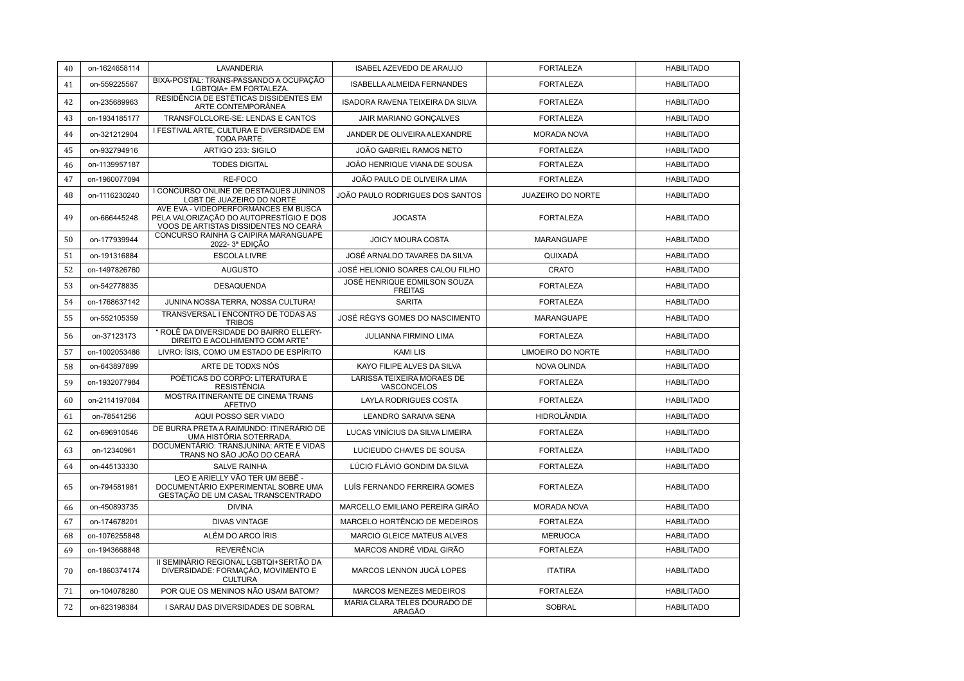| 40 | on-1624658114 | LAVANDERIA                                                                                                               | ISABEL AZEVEDO DE ARAUJO                         | <b>FORTALEZA</b>         | <b>HABILITADO</b> |
|----|---------------|--------------------------------------------------------------------------------------------------------------------------|--------------------------------------------------|--------------------------|-------------------|
| 41 | on-559225567  | BIXA-POSTAL: TRANS-PASSANDO A OCUPAÇÃO<br>LGBTQIA+ EM FORTALEZA.                                                         | <b>ISABELLA ALMEIDA FERNANDES</b>                | <b>FORTALEZA</b>         | <b>HABILITADO</b> |
| 42 | on-235689963  | RESIDÊNCIA DE ESTÉTICAS DISSIDENTES EM<br>ARTE CONTEMPORÂNEA                                                             | <b>ISADORA RAVENA TEIXEIRA DA SILVA</b>          | <b>FORTALEZA</b>         | <b>HABILITADO</b> |
| 43 | on-1934185177 | TRANSFOLCLORE-SE: LENDAS E CANTOS                                                                                        | JAIR MARIANO GONCALVES                           | <b>FORTALEZA</b>         | <b>HABILITADO</b> |
| 44 | on-321212904  | I FESTIVAL ARTE. CULTURA E DIVERSIDADE EM<br>TODA PARTE.                                                                 | JANDER DE OLIVEIRA ALEXANDRE                     | <b>MORADA NOVA</b>       | <b>HABILITADO</b> |
| 45 | on-932794916  | ARTIGO 233: SIGILO                                                                                                       | JOÃO GABRIEL RAMOS NETO                          | <b>FORTALEZA</b>         | <b>HABILITADO</b> |
| 46 | on-1139957187 | <b>TODES DIGITAL</b>                                                                                                     | JOÃO HENRIQUE VIANA DE SOUSA                     | <b>FORTALEZA</b>         | <b>HABILITADO</b> |
| 47 | on-1960077094 | RE-FOCO                                                                                                                  | JOÃO PAULO DE OLIVEIRA LIMA                      | <b>FORTALEZA</b>         | <b>HABILITADO</b> |
| 48 | on-1116230240 | I CONCURSO ONLINE DE DESTAQUES JUNINOS<br>LGBT DE JUAZEIRO DO NORTE                                                      | JOÃO PAULO RODRIGUES DOS SANTOS                  | <b>JUAZEIRO DO NORTE</b> | <b>HABILITADO</b> |
| 49 | on-666445248  | AVE EVA - VIDEOPERFORMANCES EM BUSCA<br>PELA VALORIZAÇÃO DO AUTOPRESTÍGIO E DOS<br>VOOS DE ARTISTAS DISSIDENTES NO CEARÁ | <b>JOCASTA</b>                                   | <b>FORTALEZA</b>         | <b>HABILITADO</b> |
| 50 | on-177939944  | CONCURSO RAINHA G CAIPIRA MARANGUAPE<br>2022-3ª EDICÃO                                                                   | <b>JOICY MOURA COSTA</b>                         | <b>MARANGUAPE</b>        | <b>HABILITADO</b> |
| 51 | on-191316884  | <b>ESCOLA LIVRE</b>                                                                                                      | JOSÉ ARNALDO TAVARES DA SILVA                    | QUIXADÁ                  | <b>HABILITADO</b> |
| 52 | on-1497826760 | <b>AUGUSTO</b>                                                                                                           | JOSÉ HELIONIO SOARES CALOU FILHO                 | <b>CRATO</b>             | <b>HABILITADO</b> |
| 53 | on-542778835  | <b>DESAQUENDA</b>                                                                                                        | JOSÉ HENRIQUE EDMILSON SOUZA<br><b>FREITAS</b>   | <b>FORTALEZA</b>         | <b>HABILITADO</b> |
| 54 | on-1768637142 | JUNINA NOSSA TERRA, NOSSA CULTURA!                                                                                       | <b>SARITA</b>                                    | <b>FORTALEZA</b>         | <b>HABILITADO</b> |
| 55 | on-552105359  | TRANSVERSAL I ENCONTRO DE TODAS AS<br><b>TRIBOS</b>                                                                      | JOSÉ RÉGYS GOMES DO NASCIMENTO                   | <b>MARANGUAPE</b>        | <b>HABILITADO</b> |
| 56 | on-37123173   | " ROLÊ DA DIVERSIDADE DO BAIRRO ELLERY-<br>DIREITO E ACOLHIMENTO COM ARTE"                                               | JULIANNA FIRMINO LIMA                            | <b>FORTALEZA</b>         | <b>HABILITADO</b> |
| 57 | on-1002053486 | LIVRO: ÍSIS, COMO UM ESTADO DE ESPÍRITO                                                                                  | <b>KAMILIS</b>                                   | LIMOEIRO DO NORTE        | <b>HABILITADO</b> |
| 58 | on-643897899  | ARTE DE TODXS NÓS                                                                                                        | KAYO FILIPE ALVES DA SILVA                       | <b>NOVA OLINDA</b>       | <b>HABILITADO</b> |
| 59 | on-1932077984 | POÉTICAS DO CORPO: LITERATURA E<br><b>RESISTÊNCIA</b>                                                                    | <b>LARISSA TEIXEIRA MORAES DE</b><br>VASCONCELOS | <b>FORTALEZA</b>         | <b>HABILITADO</b> |
| 60 | on-2114197084 | MOSTRA ITINERANTE DE CINEMA TRANS<br><b>AFETIVO</b>                                                                      | LAYLA RODRIGUES COSTA                            | <b>FORTALEZA</b>         | <b>HABILITADO</b> |
| 61 | on-78541256   | AQUI POSSO SER VIADO                                                                                                     | <b>LEANDRO SARAIVA SENA</b>                      | <b>HIDROLÂNDIA</b>       | <b>HABILITADO</b> |
| 62 | on-696910546  | DE BURRA PRETA A RAIMUNDO: ITINERÁRIO DE<br>UMA HISTÓRIA SOTERRADA.                                                      | LUCAS VINÍCIUS DA SILVA LIMEIRA                  | <b>FORTALEZA</b>         | <b>HABILITADO</b> |
| 63 | on-12340961   | DOCUMENTÁRIO: TRANSJUNINA: ARTE E VIDAS<br>TRANS NO SÃO JOÃO DO CEARÁ                                                    | LUCIEUDO CHAVES DE SOUSA                         | <b>FORTALEZA</b>         | <b>HABILITADO</b> |
| 64 | on-445133330  | <b>SALVE RAINHA</b>                                                                                                      | LÚCIO FLÁVIO GONDIM DA SILVA                     | <b>FORTALEZA</b>         | <b>HABILITADO</b> |
| 65 | on-794581981  | LEO E ARIELLY VÃO TER UM BEBÊ -<br>DOCUMENTÁRIO EXPERIMENTAL SOBRE UMA<br>GESTAÇÃO DE UM CASAL TRANSCENTRADO             | LUÍS FERNANDO FERREIRA GOMES                     | <b>FORTALEZA</b>         | <b>HABILITADO</b> |
| 66 | on-450893735  | <b>DIVINA</b>                                                                                                            | MARCELLO EMILIANO PEREIRA GIRÃO                  | <b>MORADA NOVA</b>       | <b>HABILITADO</b> |
| 67 | on-174678201  | <b>DIVAS VINTAGE</b>                                                                                                     | MARCELO HORTÊNCIO DE MEDEIROS                    | <b>FORTALEZA</b>         | <b>HABILITADO</b> |
| 68 | on-1076255848 | ALÉM DO ARCO ÍRIS                                                                                                        | MARCIO GLEICE MATEUS ALVES                       | <b>MERUOCA</b>           | <b>HABILITADO</b> |
| 69 | on-1943668848 | <b>REVERÊNCIA</b>                                                                                                        | MARCOS ANDRÉ VIDAL GIRÃO                         | <b>FORTALEZA</b>         | <b>HABILITADO</b> |
| 70 | on-1860374174 | II SEMINÁRIO REGIONAL LGBTQI+SERTÃO DA<br>DIVERSIDADE: FORMAÇÃO, MOVIMENTO E<br><b>CULTURA</b>                           | MARCOS LENNON JUCÁ LOPES                         | <b>ITATIRA</b>           | <b>HABILITADO</b> |
| 71 | on-104078280  | POR QUE OS MENINOS NÃO USAM BATOM?                                                                                       | MARCOS MENEZES MEDEIROS                          | <b>FORTALEZA</b>         | <b>HABILITADO</b> |
| 72 | on-823198384  | I SARAU DAS DIVERSIDADES DE SOBRAL                                                                                       | MARIA CLARA TELES DOURADO DE<br>ARAGÃO           | <b>SOBRAL</b>            | <b>HABILITADO</b> |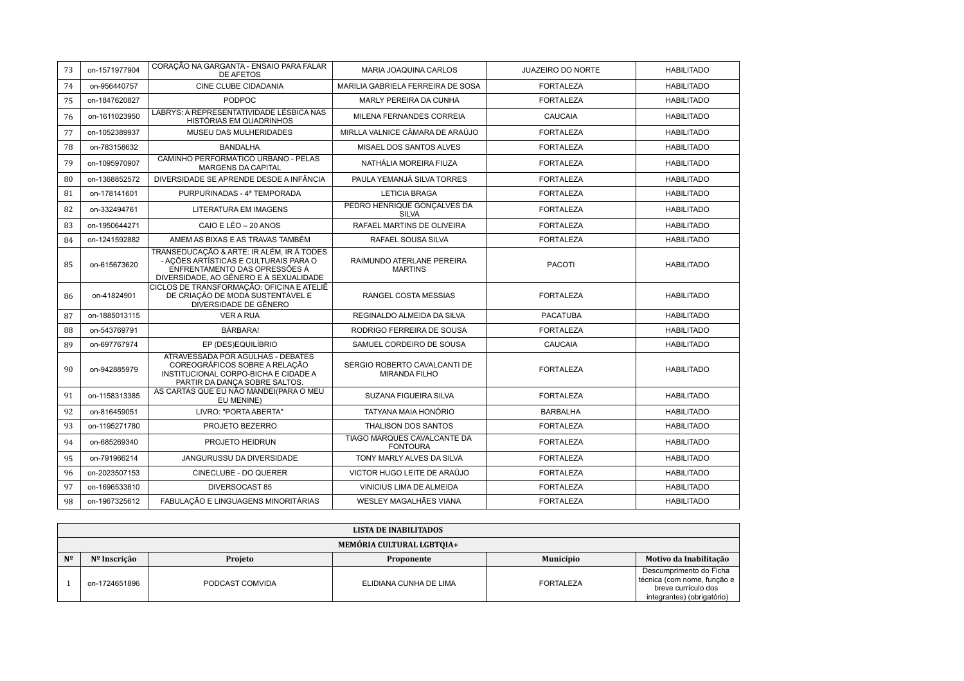| 73 | on-1571977904 | CORAÇÃO NA GARGANTA - ENSAIO PARA FALAR<br><b>DE AFETOS</b>                                                                                                   | MARIA JOAQUINA CARLOS                                | <b>JUAZEIRO DO NORTE</b> | <b>HABILITADO</b> |
|----|---------------|---------------------------------------------------------------------------------------------------------------------------------------------------------------|------------------------------------------------------|--------------------------|-------------------|
| 74 | on-956440757  | <b>CINE CLUBE CIDADANIA</b>                                                                                                                                   | MARILIA GABRIELA FERREIRA DE SOSA                    | <b>FORTALEZA</b>         | <b>HABILITADO</b> |
| 75 | on-1847620827 | <b>PODPOC</b>                                                                                                                                                 | MARLY PEREIRA DA CUNHA                               | <b>FORTALEZA</b>         | <b>HABILITADO</b> |
| 76 | on-1611023950 | LABRYS: A REPRESENTATIVIDADE LÉSBICA NAS<br>HISTÓRIAS EM QUADRINHOS                                                                                           | MILENA FERNANDES CORREIA                             | <b>CAUCAIA</b>           | <b>HABILITADO</b> |
| 77 | on-1052389937 | MUSEU DAS MULHERIDADES                                                                                                                                        | MIRLLA VALNICE CÂMARA DE ARAÚJO                      | <b>FORTALEZA</b>         | <b>HABILITADO</b> |
| 78 | on-783158632  | <b>BANDALHA</b>                                                                                                                                               | MISAEL DOS SANTOS ALVES                              | <b>FORTALEZA</b>         | <b>HABILITADO</b> |
| 79 | on-1095970907 | CAMINHO PERFORMÁTICO URBANO - PELAS<br>MARGENS DA CAPITAL                                                                                                     | NATHÁLIA MOREIRA FIUZA                               | <b>FORTALEZA</b>         | <b>HABILITADO</b> |
| 80 | on-1368852572 | DIVERSIDADE SE APRENDE DESDE A INFÂNCIA                                                                                                                       | PAULA YEMANJÁ SILVA TORRES                           | <b>FORTALEZA</b>         | <b>HABILITADO</b> |
| 81 | on-178141601  | PURPURINADAS - 4ª TEMPORADA                                                                                                                                   | <b>LETICIA BRAGA</b>                                 | <b>FORTALEZA</b>         | <b>HABILITADO</b> |
| 82 | on-332494761  | <b>LITERATURA EM IMAGENS</b>                                                                                                                                  | PEDRO HENRIQUE GONCALVES DA<br><b>SILVA</b>          | <b>FORTALEZA</b>         | <b>HABILITADO</b> |
| 83 | on-1950644271 | CAIO E LÉO - 20 ANOS                                                                                                                                          | RAFAEL MARTINS DE OLIVEIRA                           | <b>FORTALEZA</b>         | <b>HABILITADO</b> |
| 84 | on-1241592882 | AMEM AS BIXAS E AS TRAVAS TAMBÉM                                                                                                                              | RAFAEL SOUSA SILVA                                   | <b>FORTALEZA</b>         | <b>HABILITADO</b> |
| 85 | on-615673620  | TRANSEDUCAÇÃO & ARTE: IR ALÉM, IR À TODES<br>- AÇÕES ARTÍSTICAS E CULTURAIS PARA O<br>ENFRENTAMENTO DAS OPRESSÕES À<br>DIVERSIDADE, AO GÊNERO E À SEXUALIDADE | RAIMUNDO ATERLANE PEREIRA<br><b>MARTINS</b>          | <b>PACOTI</b>            | <b>HABILITADO</b> |
| 86 | on-41824901   | CICLOS DE TRANSFORMAÇÃO: OFICINA E ATELIÊ<br>DE CRIAÇÃO DE MODA SUSTENTÁVEL E<br>DIVERSIDADE DE GÊNERO                                                        | RANGEL COSTA MESSIAS                                 | <b>FORTALEZA</b>         | <b>HABILITADO</b> |
| 87 | on-1885013115 | <b>VER A RUA</b>                                                                                                                                              | REGINALDO ALMEIDA DA SILVA                           | <b>PACATUBA</b>          | <b>HABILITADO</b> |
| 88 | on-543769791  | BÁRBARA!                                                                                                                                                      | RODRIGO FERREIRA DE SOUSA                            | <b>FORTALEZA</b>         | <b>HABILITADO</b> |
| 89 | on-697767974  | EP (DES)EQUILÍBRIO                                                                                                                                            | SAMUEL CORDEIRO DE SOUSA                             | <b>CAUCAIA</b>           | <b>HABILITADO</b> |
| 90 | on-942885979  | ATRAVESSADA POR AGULHAS - DEBATES<br>COREOGRÁFICOS SOBRE A RELAÇÃO<br>INSTITUCIONAL CORPO-BICHA E CIDADE A<br>PARTIR DA DANCA SOBRE SALTOS.                   | SERGIO ROBERTO CAVALCANTI DE<br><b>MIRANDA FILHO</b> | <b>FORTALEZA</b>         | <b>HABILITADO</b> |
| 91 | on-1158313385 | AS CARTAS QUE EU NÃO MANDEI(PARA O MEU<br>EU MENINE)                                                                                                          | SUZANA FIGUEIRA SILVA                                | <b>FORTALEZA</b>         | <b>HABILITADO</b> |
| 92 | on-816459051  | LIVRO: "PORTA ABERTA"                                                                                                                                         | TATYANA MAIA HONÓRIO                                 | <b>BARBALHA</b>          | <b>HABILITADO</b> |
| 93 | on-1195271780 | PROJETO BEZERRO                                                                                                                                               | <b>THALISON DOS SANTOS</b>                           | <b>FORTALEZA</b>         | <b>HABILITADO</b> |
| 94 | on-685269340  | PROJETO HEIDRUN                                                                                                                                               | TIAGO MARQUES CAVALCANTE DA<br><b>FONTOURA</b>       | <b>FORTALEZA</b>         | <b>HABILITADO</b> |
| 95 | on-791966214  | JANGURUSSU DA DIVERSIDADE                                                                                                                                     | TONY MARLY ALVES DA SILVA                            | <b>FORTALEZA</b>         | <b>HABILITADO</b> |
| 96 | on-2023507153 | CINECLUBE - DO QUERER                                                                                                                                         | VICTOR HUGO LEITE DE ARAÚJO                          | <b>FORTALEZA</b>         | <b>HABILITADO</b> |
| 97 | on-1696533810 | DIVERSOCAST 85                                                                                                                                                | <b>VINICIUS LIMA DE ALMEIDA</b>                      | <b>FORTALEZA</b>         | <b>HABILITADO</b> |
| 98 | on-1967325612 | FABULACÃO E LINGUAGENS MINORITÁRIAS                                                                                                                           | WESLEY MAGALHÃES VIANA                               | <b>FORTALEZA</b>         | <b>HABILITADO</b> |

|    | LISTA DE INABILITADOS     |                 |                        |                  |                                                                                                             |  |  |
|----|---------------------------|-----------------|------------------------|------------------|-------------------------------------------------------------------------------------------------------------|--|--|
|    | MEMÓRIA CULTURAL LGBTOIA+ |                 |                        |                  |                                                                                                             |  |  |
| Nº | Nº Inscrição              | Projeto         | Proponente             | Município        | Motivo da Inabilitação                                                                                      |  |  |
|    | on-1724651896             | PODCAST COMVIDA | ELIDIANA CUNHA DE LIMA | <b>FORTALEZA</b> | Descumprimento do Ficha<br>técnica (com nome, função e<br>breve currículo dos<br>integrantes) (obrigatório) |  |  |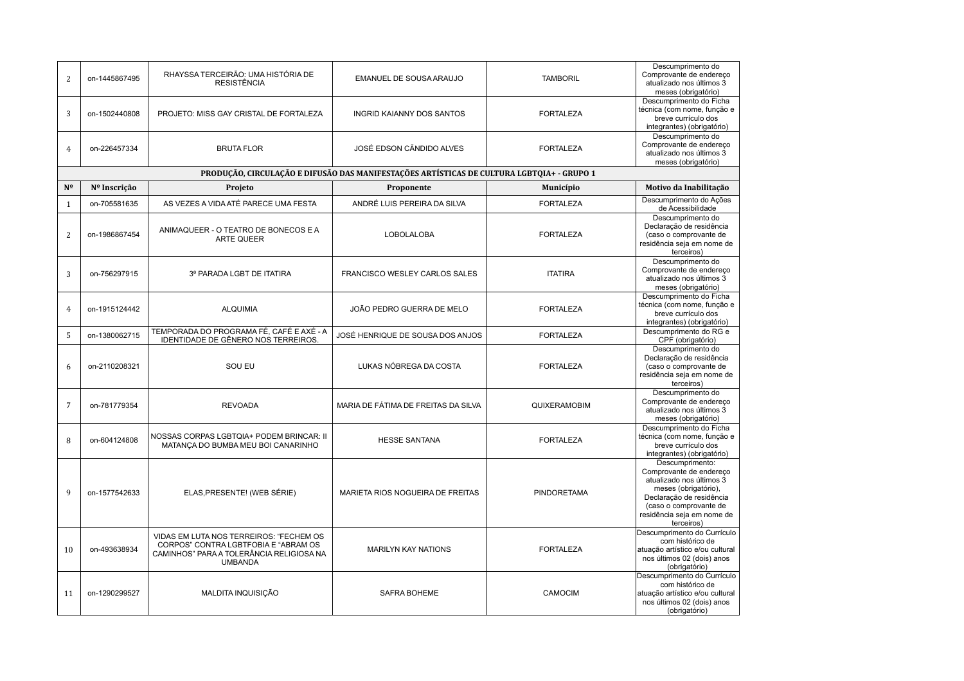| $\overline{2}$ | on-1445867495                                                                             | RHAYSSA TERCEIRÃO: UMA HISTÓRIA DE<br><b>RESISTÊNCIA</b>                                                                                      | EMANUEL DE SOUSA ARAUJO             | <b>TAMBORIL</b>    | Descumprimento do<br>Comprovante de endereço<br>atualizado nos últimos 3<br>meses (obrigatório)                                                                                                  |  |  |  |
|----------------|-------------------------------------------------------------------------------------------|-----------------------------------------------------------------------------------------------------------------------------------------------|-------------------------------------|--------------------|--------------------------------------------------------------------------------------------------------------------------------------------------------------------------------------------------|--|--|--|
| 3              | on-1502440808                                                                             | PROJETO: MISS GAY CRISTAL DE FORTALEZA                                                                                                        | <b>INGRID KAIANNY DOS SANTOS</b>    | <b>FORTALEZA</b>   | Descumprimento do Ficha<br>técnica (com nome, função e<br>breve currículo dos<br>integrantes) (obrigatório)                                                                                      |  |  |  |
| 4              | on-226457334                                                                              | <b>BRUTA FLOR</b>                                                                                                                             | JOSÉ EDSON CÃNDIDO ALVES            | <b>FORTALEZA</b>   | Descumprimento do<br>Comprovante de endereço<br>atualizado nos últimos 3<br>meses (obrigatório)                                                                                                  |  |  |  |
|                | PRODUÇÃO, CIRCULAÇÃO E DIFUSÃO DAS MANIFESTAÇÕES ARTÍSTICAS DE CULTURA LGBTOIA+ - GRUPO 1 |                                                                                                                                               |                                     |                    |                                                                                                                                                                                                  |  |  |  |
| Nº             | Nº Inscrição                                                                              | Projeto                                                                                                                                       | Proponente                          | Município          | Motivo da Inabilitação                                                                                                                                                                           |  |  |  |
| $\mathbf{1}$   | on-705581635                                                                              | AS VEZES A VIDA ATÉ PARECE UMA FESTA                                                                                                          | ANDRÉ LUIS PEREIRA DA SILVA         | <b>FORTALEZA</b>   | Descumprimento do Ações<br>de Acessibilidade                                                                                                                                                     |  |  |  |
| $\overline{2}$ | on-1986867454                                                                             | ANIMAQUEER - O TEATRO DE BONECOS E A<br><b>ARTE QUEER</b>                                                                                     | <b>LOBOLALOBA</b>                   | <b>FORTALEZA</b>   | Descumprimento do<br>Declaração de residência<br>(caso o comprovante de<br>residência seja em nome de<br>terceiros)                                                                              |  |  |  |
| 3              | on-756297915                                                                              | 3ª PARADA LGBT DE ITATIRA                                                                                                                     | FRANCISCO WESLEY CARLOS SALES       | <b>ITATIRA</b>     | Descumprimento do<br>Comprovante de endereco<br>atualizado nos últimos 3<br>meses (obrigatório)                                                                                                  |  |  |  |
| $\overline{4}$ | on-1915124442                                                                             | <b>ALQUIMIA</b>                                                                                                                               | JOÃO PEDRO GUERRA DE MELO           | <b>FORTALEZA</b>   | Descumprimento do Ficha<br>técnica (com nome, função e<br>breve currículo dos<br>integrantes) (obrigatório)                                                                                      |  |  |  |
| 5              | on-1380062715                                                                             | TEMPORADA DO PROGRAMA FÉ, CAFÉ E AXÉ - A<br>IDENTIDADE DE GÊNERO NOS TERREIROS.                                                               | JOSÉ HENRIQUE DE SOUSA DOS ANJOS    | <b>FORTALEZA</b>   | Descumprimento do RG e<br>CPF (obrigatório)                                                                                                                                                      |  |  |  |
| 6              | on-2110208321                                                                             | SOU EU                                                                                                                                        | LUKAS NÓBREGA DA COSTA              | <b>FORTALEZA</b>   | Descumprimento do<br>Declaração de residência<br>(caso o comprovante de<br>residência seja em nome de<br>terceiros)                                                                              |  |  |  |
| $\overline{7}$ | on-781779354                                                                              | <b>REVOADA</b>                                                                                                                                | MARIA DE FÁTIMA DE FREITAS DA SILVA | QUIXERAMOBIM       | Descumprimento do<br>Comprovante de endereço<br>atualizado nos últimos 3<br>meses (obrigatório)                                                                                                  |  |  |  |
| 8              | on-604124808                                                                              | NOSSAS CORPAS LGBTQIA+ PODEM BRINCAR: II<br>MATANÇA DO BUMBA MEU BOI CANARINHO                                                                | <b>HESSE SANTANA</b>                | <b>FORTALEZA</b>   | Descumprimento do Ficha<br>técnica (com nome, função e<br>breve currículo dos<br>integrantes) (obrigatório)                                                                                      |  |  |  |
| $\mathbf{Q}$   | on-1577542633                                                                             | ELAS, PRESENTE! (WEB SÉRIE)                                                                                                                   | MARIETA RIOS NOGUEIRA DE FREITAS    | <b>PINDORETAMA</b> | Descumprimento:<br>Comprovante de endereço<br>atualizado nos últimos 3<br>meses (obrigatório),<br>Declaração de residência<br>(caso o comprovante de<br>residência seja em nome de<br>terceiros) |  |  |  |
| 10             | on-493638934                                                                              | VIDAS EM LUTA NOS TERREIROS: "FECHEM OS<br>CORPOS" CONTRA LGBTFOBIA E "ABRAM OS<br>CAMINHOS" PARA A TOLERÂNCIA RELIGIOSA NA<br><b>UMBANDA</b> | <b>MARILYN KAY NATIONS</b>          | <b>FORTALEZA</b>   | Descumprimento do Currículo<br>com histórico de<br>atuação artístico e/ou cultural<br>nos últimos 02 (dois) anos<br>(obrigatório)                                                                |  |  |  |
| 11             | on-1290299527                                                                             | MALDITA INQUISIÇÃO                                                                                                                            | SAFRA BOHEME                        | CAMOCIM            | Descumprimento do Currículo<br>com histórico de<br>atuação artístico e/ou cultural<br>nos últimos 02 (dois) anos<br>(obrigatório)                                                                |  |  |  |
|                |                                                                                           |                                                                                                                                               |                                     |                    |                                                                                                                                                                                                  |  |  |  |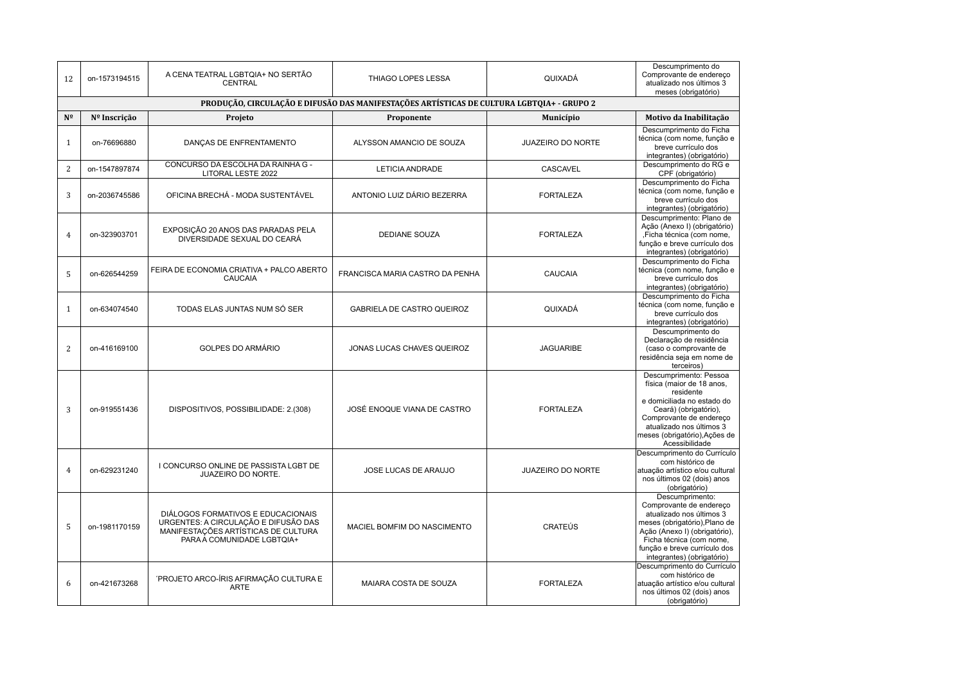| 12             | on-1573194515                                                                             | A CENA TEATRAL LGBTQIA+ NO SERTÃO<br>CENTRAL                                                                                                    | THIAGO LOPES LESSA                | QUIXADÁ                  | Descumprimento do<br>Comprovante de endereço<br>atualizado nos últimos 3<br>meses (obrigatório)                                                                                                                                    |  |  |  |  |
|----------------|-------------------------------------------------------------------------------------------|-------------------------------------------------------------------------------------------------------------------------------------------------|-----------------------------------|--------------------------|------------------------------------------------------------------------------------------------------------------------------------------------------------------------------------------------------------------------------------|--|--|--|--|
|                | PRODUÇÃO, CIRCULAÇÃO E DIFUSÃO DAS MANIFESTAÇÕES ARTÍSTICAS DE CULTURA LGBTQIA+ - GRUPO 2 |                                                                                                                                                 |                                   |                          |                                                                                                                                                                                                                                    |  |  |  |  |
| N <sup>o</sup> | Nº Inscrição                                                                              | Projeto                                                                                                                                         | Proponente                        | Município                | Motivo da Inabilitação                                                                                                                                                                                                             |  |  |  |  |
| $\mathbf{1}$   | on-76696880                                                                               | DANÇAS DE ENFRENTAMENTO                                                                                                                         | ALYSSON AMANCIO DE SOUZA          | <b>JUAZEIRO DO NORTE</b> | Descumprimento do Ficha<br>técnica (com nome, função e<br>breve currículo dos<br>integrantes) (obrigatório)                                                                                                                        |  |  |  |  |
| $\overline{2}$ | on-1547897874                                                                             | CONCURSO DA ESCOLHA DA RAINHA G -<br>LITORAL LESTE 2022                                                                                         | LETICIA ANDRADE                   | <b>CASCAVEL</b>          | Descumprimento do RG e<br>CPF (obrigatório)                                                                                                                                                                                        |  |  |  |  |
| 3              | on-2036745586                                                                             | OFICINA BRECHÁ - MODA SUSTENTÁVEL                                                                                                               | ANTONIO LUIZ DÁRIO BEZERRA        | <b>FORTALEZA</b>         | Descumprimento do Ficha<br>técnica (com nome, função e<br>breve currículo dos<br>integrantes) (obrigatório)                                                                                                                        |  |  |  |  |
| $\overline{4}$ | on-323903701                                                                              | EXPOSIÇÃO 20 ANOS DAS PARADAS PELA<br>DIVERSIDADE SEXUAL DO CEARÁ                                                                               | <b>DEDIANE SOUZA</b>              | <b>FORTALEZA</b>         | Descumprimento: Plano de<br>Ação (Anexo I) (obrigatório)<br>,Ficha técnica (com nome,<br>função e breve currículo dos<br>integrantes) (obrigatório)                                                                                |  |  |  |  |
| 5              | on-626544259                                                                              | FEIRA DE ECONOMIA CRIATIVA + PALCO ABERTO<br>CAUCAIA                                                                                            | FRANCISCA MARIA CASTRO DA PENHA   | CAUCAIA                  | Descumprimento do Ficha<br>técnica (com nome, função e<br>breve currículo dos<br>integrantes) (obrigatório)                                                                                                                        |  |  |  |  |
| $\mathbf{1}$   | on-634074540                                                                              | TODAS ELAS JUNTAS NUM SÓ SER                                                                                                                    | <b>GABRIELA DE CASTRO QUEIROZ</b> | QUIXADÁ                  | Descumprimento do Ficha<br>técnica (com nome, função e<br>breve currículo dos<br>integrantes) (obrigatório)                                                                                                                        |  |  |  |  |
| $\overline{2}$ | on-416169100                                                                              | <b>GOLPES DO ARMÁRIO</b>                                                                                                                        | JONAS LUCAS CHAVES QUEIROZ        | <b>JAGUARIBE</b>         | Descumprimento do<br>Declaração de residência<br>(caso o comprovante de<br>residência seja em nome de<br>terceiros)                                                                                                                |  |  |  |  |
| 3              | on-919551436                                                                              | DISPOSITIVOS, POSSIBILIDADE: 2.(308)                                                                                                            | JOSÉ ENOQUE VIANA DE CASTRO       | <b>FORTALEZA</b>         | Descumprimento: Pessoa<br>física (maior de 18 anos,<br>residente<br>e domiciliada no estado do<br>Ceará) (obrigatório),<br>Comprovante de endereço<br>atualizado nos últimos 3<br>meses (obrigatório), Ações de<br>Acessibilidade  |  |  |  |  |
| $\overline{4}$ | on-629231240                                                                              | I CONCURSO ONLINE DE PASSISTA LGBT DE<br><b>JUAZEIRO DO NORTE.</b>                                                                              | <b>JOSE LUCAS DE ARAUJO</b>       | <b>JUAZEIRO DO NORTE</b> | Descumprimento do Currículo<br>com histórico de<br>atuação artístico e/ou cultural<br>nos últimos 02 (dois) anos<br>(obrigatório)                                                                                                  |  |  |  |  |
| 5              | on-1981170159                                                                             | DIÁLOGOS FORMATIVOS E EDUCACIONAIS<br>URGENTES: A CIRCULAÇÃO E DIFUSÃO DAS<br>MANIFESTAÇÕES ARTÍSTICAS DE CULTURA<br>PARA A COMUNIDADE LGBTQIA+ | MACIEL BOMFIM DO NASCIMENTO       | <b>CRATEÚS</b>           | Descumprimento:<br>Comprovante de endereço<br>atualizado nos últimos 3<br>meses (obrigatório), Plano de<br>Ação (Anexo I) (obrigatório),<br>Ficha técnica (com nome,<br>função e breve currículo dos<br>integrantes) (obrigatório) |  |  |  |  |
| 6              | on-421673268                                                                              | 'PROJETO ARCO-ÍRIS AFIRMAÇÃO CULTURA E<br><b>ARTE</b>                                                                                           | MAIARA COSTA DE SOUZA             | <b>FORTALEZA</b>         | Descumprimento do Currículo<br>com histórico de<br>atuação artístico e/ou cultural<br>nos últimos 02 (dois) anos<br>(obrigatório)                                                                                                  |  |  |  |  |